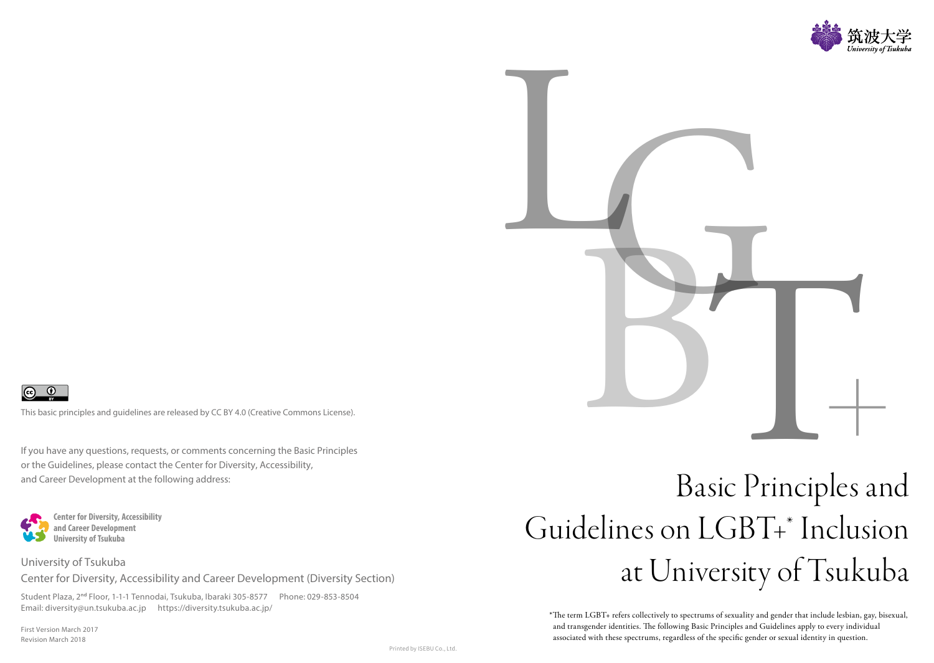



If you have any questions, requests, or comments concerning the Basic Principles or the Guidelines, please contact the Center for Diversity, Accessibility, and Career Development at the following address:



#### University of Tsukuba

Center for Diversity, Accessibility and Career Development (Diversity Section)

Student Plaza, 2**nd** Floor, 1-1-1 Tennodai, Tsukuba, Ibaraki 305-8577 Phone: 029-853-8504 Email: diversity@un.tsukuba.ac.jp https://diversity.tsukuba.ac.jp/

First Version March 2017 Revision March 2018

# Guidelines on LGBT+\* Inclusion at University of Tsukuba

\*The term LGBT+ refers collectively to spectrums of sexuality and gender that include lesbian, gay, bisexual, and transgender identities. The following Basic Principles and Guidelines apply to every individual associated with these spectrums, regardless of the specific gender or sexual identity in question.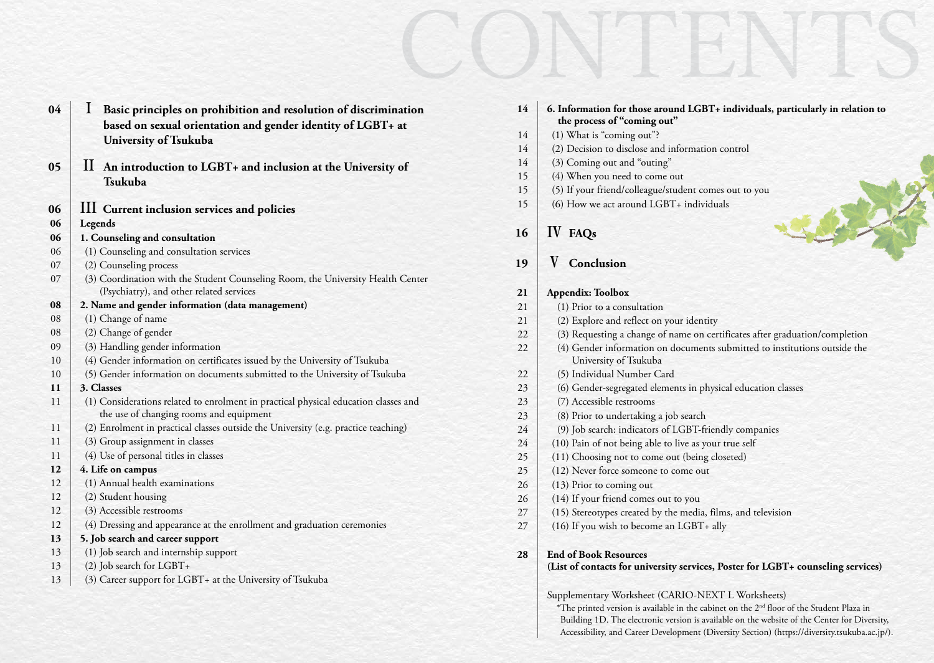| 04 | 1 Basic principles on prohibition and resolution of discrimination |
|----|--------------------------------------------------------------------|
|    | based on sexual orientation and gender identity of LGBT+ at        |
|    | University of Tsukuba                                              |

- II **[An introduction to LGBT+ and inclusion at the University of](#page-2-1)  [Tsukuba](#page-2-1)**
- III **[Current inclusion services and policies](#page-3-0)**
- **[Legends](#page-3-1)**
- **[1. Counseling and consultation](#page-3-2)**
- [\(1\) Counseling and consultation services](#page-3-3)
- [\(2\) Counseling process](#page-3-4)
- (3) Coordination with the Student Counseling Room, the University Health Center [\(Psychiatry\), and other related services](#page-3-5)
- **[2. Name and gender information \(data management\)](#page-4-0)**
- [\(1\) Change of name](#page-4-1)
- [\(2\) Change of gender](#page-4-2)
- [\(3\) Handling gender information](#page-4-3)
- [\(4\) Gender information on certificates issued by the University of Tsukuba](#page-5-0)
- [\(5\) Gender information on documents submitted to the University of Tsukuba](#page-5-1)

#### **[3. Classes](#page-5-2)**

- [\(1\) Considerations related to enrolment in practical physical education classes and](#page-5-3)  [the use of changing rooms and equipment](#page-5-3)
- [\(2\) Enrolment in practical classes outside the University \(e.g. practice teaching\)](#page-5-4)
- [\(3\) Group assignment in classes](#page-5-5)
- [\(4\) Use of personal titles in classes](#page-5-6)

#### **[4. Life on campus](#page-6-0)**

- [\(1\) Annual health examinations](#page-6-1)
- [\(2\) Student housing](#page-6-2)
- [\(3\) Accessible restrooms](#page-6-3)
- [\(4\) Dressing and appearance at the enrollment and graduation ceremonies](#page-6-4)

#### **[5. Job search and career support](#page-6-5)**

- [\(1\) Job search and internship support](#page-6-6)
- [\(2\) Job search for LGBT+](#page-6-7)
- [\(3\) Career support for LGBT+ at the University of Tsukuba](#page-6-8)

| ation  | 14     | 6. Information for those around LGBT+ individuals, particularly in relation to                     |
|--------|--------|----------------------------------------------------------------------------------------------------|
| at     |        | the process of "coming out"                                                                        |
|        | 14     | (1) What is "coming out"?                                                                          |
|        | 14     | (2) Decision to disclose and information control                                                   |
| of     | 14     | (3) Coming out and "outing"                                                                        |
|        | 15     | (4) When you need to come out                                                                      |
|        | 15     | (5) If your friend/colleague/student comes out to you                                              |
|        | 15     | (6) How we act around LGBT+ individuals                                                            |
|        | 16     | IV FAQ <sub>s</sub>                                                                                |
|        | 19     | Conclusion                                                                                         |
| Center |        |                                                                                                    |
|        | 21     | <b>Appendix: Toolbox</b>                                                                           |
|        | 21     | (1) Prior to a consultation                                                                        |
|        | 21     | (2) Explore and reflect on your identity                                                           |
|        | 22     | (3) Requesting a change of name on certificates after graduation/completion                        |
|        | 22     | (4) Gender information on documents submitted to institutions outside the<br>University of Tsukuba |
| ba     | 22     | (5) Individual Number Card                                                                         |
|        | 23     | (6) Gender-segregated elements in physical education classes                                       |
| es and | 23     | (7) Accessible restrooms                                                                           |
|        | 23     | (8) Prior to undertaking a job search                                                              |
| 1g)    | 24     | (9) Job search: indicators of LGBT-friendly companies                                              |
|        | 24     | (10) Pain of not being able to live as your true self                                              |
|        | 25     | (11) Choosing not to come out (being closeted)                                                     |
|        | 25     | (12) Never force someone to come out                                                               |
|        | 26     | (13) Prior to coming out                                                                           |
|        | 26     | (14) If your friend comes out to you                                                               |
|        | $27\,$ | (15) Stereotypes created by the media, films, and television                                       |
|        | 27     | (16) If you wish to become an LGBT+ ally                                                           |
|        | 28     | <b>End of Book Resources</b>                                                                       |
|        |        | (List of contacts for university services, Poster for LGBT+ counseling services)                   |
|        |        | Supplementary Worksheet (CARIO-NEXT L Worksheets)                                                  |

\*The printed version is available in the cabinet on the 2nd floor of the Student Plaza in Building 1D. The electronic version is available on the website of the Center for Diversity, Accessibility, and Career Development (Diversity Section) [\(https://diversity.tsukuba.ac.jp/\)](https://diversity.tsukuba.ac.jp/).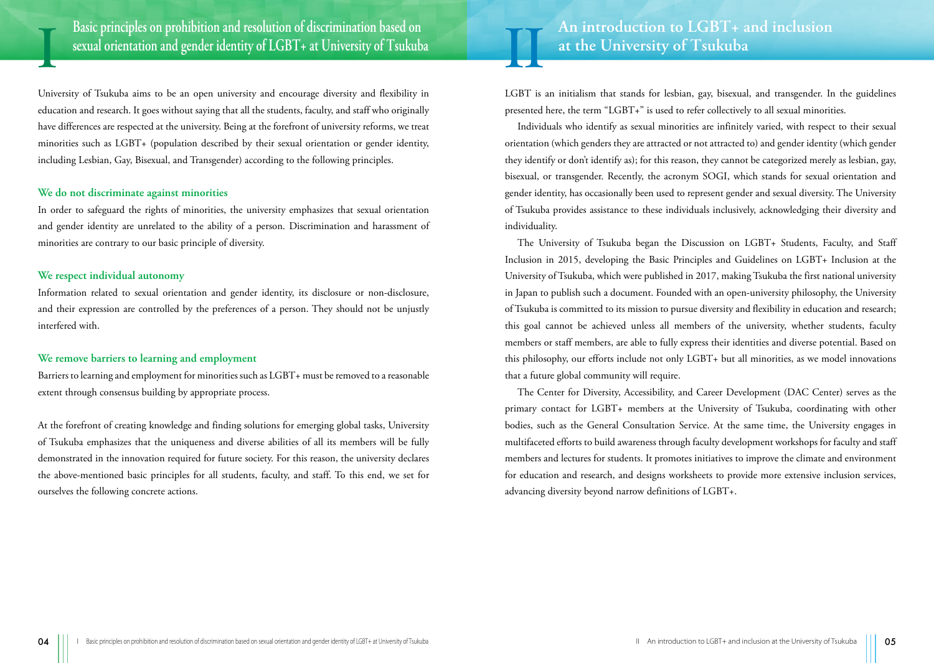<span id="page-2-0"></span>**Basic principles on prohibition and resolution of discrimination based on sexual orientation and gender identity of LGBT+ at University of Tsukuba**

University of Tsukuba aims to be an open university and encourage diversity and flexibility in education and research. It goes without saying that all the students, faculty, and staff who originally have differences are respected at the university. Being at the forefront of university reforms, we treat minorities such as LGBT+ (population described by their sexual orientation or gender identity, including Lesbian, Gay, Bisexual, and Transgender) according to the following principles.

#### **We do not discriminate against minorities**

In order to safeguard the rights of minorities, the university emphasizes that sexual orientation and gender identity are unrelated to the ability of a person. Discrimination and harassment of minorities are contrary to our basic principle of diversity.

#### **We respect individual autonomy**

I

Information related to sexual orientation and gender identity, its disclosure or non-disclosure, and their expression are controlled by the preferences of a person. They should not be unjustly interfered with.

#### **We remove barriers to learning and employment**

Barriers to learning and employment for minorities such as LGBT+ must be removed to a reasonable extent through consensus building by appropriate process.

At the forefront of creating knowledge and finding solutions for emerging global tasks, University of Tsukuba emphasizes that the uniqueness and diverse abilities of all its members will be fully demonstrated in the innovation required for future society. For this reason, the university declares the above-mentioned basic principles for all students, faculty, and staff. To this end, we set for ourselves the following concrete actions.

## <span id="page-2-1"></span>An introduction to LGBT+ and inclusion **at the University of Tsukuba**

LGBT is an initialism that stands for lesbian, gay, bisexual, and transgender. In the guidelines presented here, the term "LGBT+" is used to refer collectively to all sexual minorities.

Individuals who identify as sexual minorities are infinitely varied, with respect to their sexual orientation (which genders they are attracted or not attracted to) and gender identity (which gender they identify or don't identify as); for this reason, they cannot be categorized merely as lesbian, gay, bisexual, or transgender. Recently, the acronym SOGI, which stands for sexual orientation and gender identity, has occasionally been used to represent gender and sexual diversity. The University of Tsukuba provides assistance to these individuals inclusively, acknowledging their diversity and individuality.

The University of Tsukuba began the Discussion on LGBT+ Students, Faculty, and Staff Inclusion in 2015, developing the Basic Principles and Guidelines on LGBT+ Inclusion at the University of Tsukuba, which were published in 2017, making Tsukuba the first national university in Japan to publish such a document. Founded with an open-university philosophy, the University of Tsukuba is committed to its mission to pursue diversity and flexibility in education and research; this goal cannot be achieved unless all members of the university, whether students, faculty members or staff members, are able to fully express their identities and diverse potential. Based on this philosophy, our efforts include not only LGBT+ but all minorities, as we model innovations that a future global community will require.

The Center for Diversity, Accessibility, and Career Development (DAC Center) serves as the primary contact for LGBT+ members at the University of Tsukuba, coordinating with other bodies, such as the General Consultation Service. At the same time, the University engages in multifaceted efforts to build awareness through faculty development workshops for faculty and staff members and lectures for students. It promotes initiatives to improve the climate and environment for education and research, and designs worksheets to provide more extensive inclusion services, advancing diversity beyond narrow definitions of LGBT+.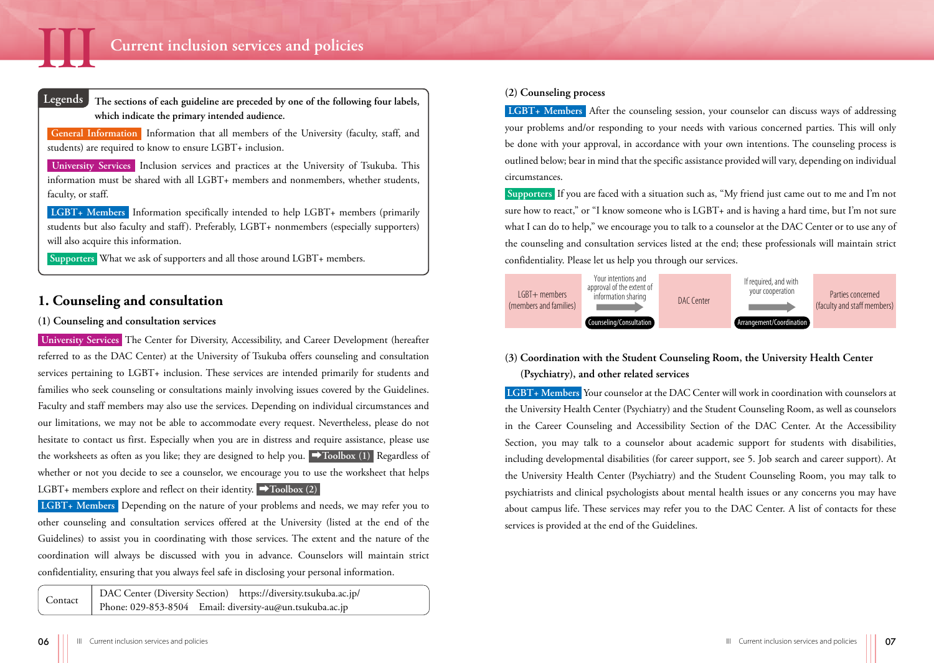

<span id="page-3-1"></span>

<span id="page-3-0"></span>**The sections of each guideline are preceded by one of the following four labels, which indicate the primary intended audience.**

 **General Information** Information that all members of the University (faculty, staff, and students) are required to know to ensure LGBT+ inclusion.

 **University Services** Inclusion services and practices at the University of Tsukuba. This information must be shared with all LGBT+ members and nonmembers, whether students, faculty, or staff.

 **LGBT+ Members** Information specifically intended to help LGBT+ members (primarily students but also faculty and staff). Preferably, LGBT+ nonmembers (especially supporters) will also acquire this information.

 **Supporters** What we ask of supporters and all those around LGBT+ members.

#### <span id="page-3-2"></span>**1. Counseling and consultation**

#### <span id="page-3-3"></span>**(1) Counseling and consultation services**

 **University Services** The Center for Diversity, Accessibility, and Career Development (hereafter referred to as the DAC Center) at the University of Tsukuba offers counseling and consultation services pertaining to LGBT+ inclusion. These services are intended primarily for students and families who seek counseling or consultations mainly involving issues covered by the Guidelines. Faculty and staff members may also use the services. Depending on individual circumstances and our limitations, we may not be able to accommodate every request. Nevertheless, please do not hesitate to contact us first. Especially when you are in distress and require assistance, please use the worksheets as often as you like; they are designed to help you. ➡**[Toolbox \(1\)](#page-10-3)** Regardless of whether or not you decide to see a counselor, we encourage you to use the worksheet that helps LGBT+ members explore and reflect on their identity. ➡**[Toolbox \(2\)](#page-10-2)** 

 **LGBT+ Members** Depending on the nature of your problems and needs, we may refer you to other counseling and consultation services offered at the University (listed at the end of the Guidelines) to assist you in coordinating with those services. The extent and the nature of the coordination will always be discussed with you in advance. Counselors will maintain strict confidentiality, ensuring that you always feel safe in disclosing your personal information.

Contact DAC Center (Diversity Section) <https://diversity.tsukuba.ac.jp/> Phone: 029-853-8504 Email: [diversity-au@un.tsukuba.ac.jp](mailto:diversity-au@un.tsukuba.ac.jp)

#### <span id="page-3-4"></span>**(2) Counseling process**

 **LGBT+ Members** After the counseling session, your counselor can discuss ways of addressing your problems and/or responding to your needs with various concerned parties. This will only be done with your approval, in accordance with your own intentions. The counseling process is outlined below; bear in mind that the specific assistance provided will vary, depending on individual circumstances.

 **Supporters** If you are faced with a situation such as, "My friend just came out to me and I'm not sure how to react," or "I know someone who is LGBT+ and is having a hard time, but I'm not sure what I can do to help," we encourage you to talk to a counselor at the DAC Center or to use any of the counseling and consultation services listed at the end; these professionals will maintain strict confidentiality. Please let us help you through our services.



#### <span id="page-3-5"></span>**(3) Coordination with the Student Counseling Room, the University Health Center (Psychiatry), and other related services**

 **LGBT+ Members** Your counselor at the DAC Center will work in coordination with counselors at the University Health Center (Psychiatry) and the Student Counseling Room, as well as counselors in the Career Counseling and Accessibility Section of the DAC Center. At the Accessibility Section, you may talk to a counselor about academic support for students with disabilities, including developmental disabilities (for career support, see 5. Job search and career support). At the University Health Center (Psychiatry) and the Student Counseling Room, you may talk to psychiatrists and clinical psychologists about mental health issues or any concerns you may have about campus life. These services may refer you to the DAC Center. A list of contacts for these services is provided at the end of the Guidelines.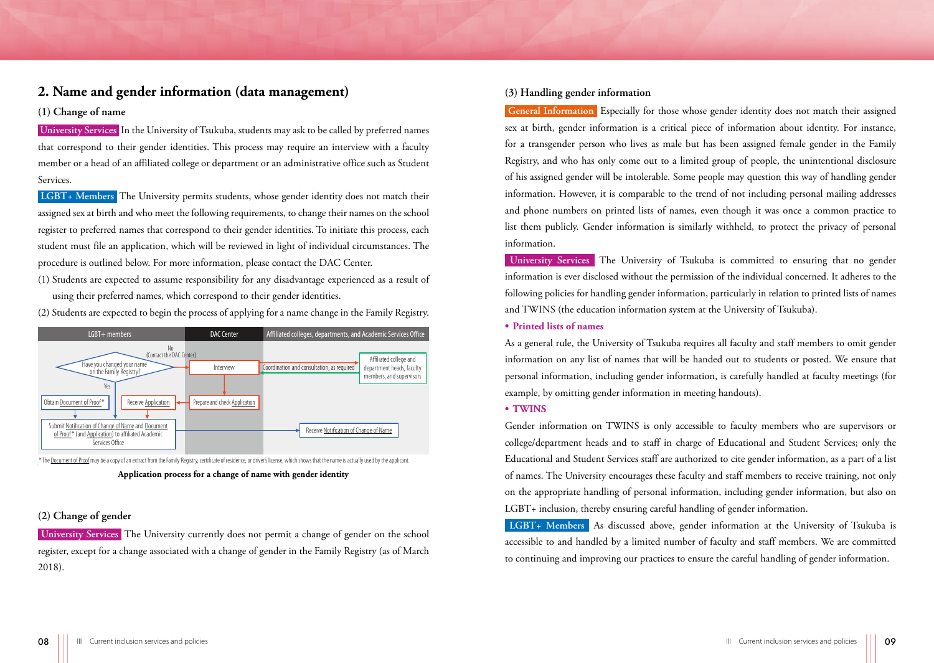#### <span id="page-4-0"></span>**2. Name and gender information (data management)**

#### <span id="page-4-1"></span>**(1) Change of name**

 **University Services** In the University of Tsukuba, students may ask to be called by preferred names that correspond to their gender identities. This process may require an interview with a faculty member or a head of an affiliated college or department or an administrative office such as Student Services.

 **LGBT+ Members** The University permits students, whose gender identity does not match their assigned sex at birth and who meet the following requirements, to change their names on the school register to preferred names that correspond to their gender identities. To initiate this process, each student must file an application, which will be reviewed in light of individual circumstances. The procedure is outlined below. For more information, please contact the DAC Center.

(1) Students are expected to assume responsibility for any disadvantage experienced as a result of using their preferred names, which correspond to their gender identities.

LGBT+ members **DAC Center** DAC Center Altiliated colleges, departments, and Academic Services Office Coordination and consultation, as required Have you changed your name on the Family Registry? No (Contact the DAC Center) Receive Application Submit Notification of Change of Name and Document of Proof<sup>\*</sup> (and Application) to affiliated Academic Services Office Receive Notification of Change of Name Yes Interview Prepare and check Application Affiliated college and department heads, faculty members, and supervisors Obtain Document of Proof\*

(2) Students are expected to begin the process of applying for a name change in the Family Registry.

#### **Application process for a change of name with gender identity** \* The Document of Proof may be a copy of an extract from the Family Registry, certificate of residence, or driver's license, which shows that the name is actually used by the applicant.

#### <span id="page-4-2"></span>**(2) Change of gender**

 **University Services** The University currently does not permit a change of gender on the school register, except for a change associated with a change of gender in the Family Registry (as of March 2018).

#### <span id="page-4-3"></span>**(3) Handling gender information**

 **General Information** Especially for those whose gender identity does not match their assigned sex at birth, gender information is a critical piece of information about identity. For instance, for a transgender person who lives as male but has been assigned female gender in the Family Registry, and who has only come out to a limited group of people, the unintentional disclosure of his assigned gender will be intolerable. Some people may question this way of handling gender information. However, it is comparable to the trend of not including personal mailing addresses and phone numbers on printed lists of names, even though it was once a common practice to list them publicly. Gender information is similarly withheld, to protect the privacy of personal information.

 **University Services** The University of Tsukuba is committed to ensuring that no gender information is ever disclosed without the permission of the individual concerned. It adheres to the following policies for handling gender information, particularly in relation to printed lists of names and TWINS (the education information system at the University of Tsukuba).

#### **• Printed lists of names**

As a general rule, the University of Tsukuba requires all faculty and staff members to omit gender information on any list of names that will be handed out to students or posted. We ensure that personal information, including gender information, is carefully handled at faculty meetings (for example, by omitting gender information in meeting handouts).

#### **• TWINS**

Gender information on TWINS is only accessible to faculty members who are supervisors or college/department heads and to staff in charge of Educational and Student Services; only the Educational and Student Services staff are authorized to cite gender information, as a part of a list of names. The University encourages these faculty and staff members to receive training, not only on the appropriate handling of personal information, including gender information, but also on LGBT+ inclusion, thereby ensuring careful handling of gender information.

 **LGBT+ Members** As discussed above, gender information at the University of Tsukuba is accessible to and handled by a limited number of faculty and staff members. We are committed to continuing and improving our practices to ensure the careful handling of gender information.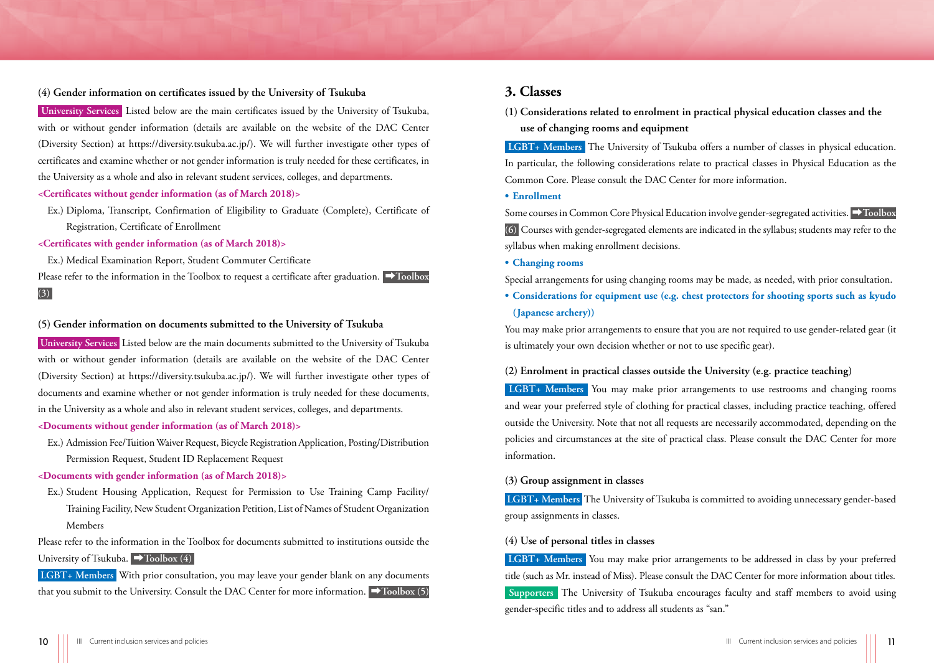#### <span id="page-5-0"></span>**(4) Gender information on certificates issued by the University of Tsukuba**

 **University Services** Listed below are the main certificates issued by the University of Tsukuba, with or without gender information (details are available on the website of the DAC Center (Diversity Section) at [https://diversity.tsukuba.ac.jp/\)](https://diversity.tsukuba.ac.jp/). We will further investigate other types of certificates and examine whether or not gender information is truly needed for these certificates, in the University as a whole and also in relevant student services, colleges, and departments.

#### **<Certificates without gender information (as of March 2018)>**

Ex.) Diploma, Transcript, Confirmation of Eligibility to Graduate (Complete), Certificate of Registration, Certificate of Enrollment

#### **<Certificates with gender information (as of March 2018)>**

Ex.) Medical Examination Report, Student Commuter Certificate

Please refer to the information in the [Toolbox](#page-11-0) to request a certificate after graduation. ▶**Toolbox [\(3\)](#page-11-0)** 

#### <span id="page-5-1"></span>**(5) Gender information on documents submitted to the University of Tsukuba**

 **University Services** Listed below are the main documents submitted to the University of Tsukuba with or without gender information (details are available on the website of the DAC Center (Diversity Section) at [https://diversity.tsukuba.ac.jp/\)](https://diversity.tsukuba.ac.jp/). We will further investigate other types of documents and examine whether or not gender information is truly needed for these documents, in the University as a whole and also in relevant student services, colleges, and departments.

#### **<Documents without gender information (as of March 2018)>**

Ex.) Admission Fee/Tuition Waiver Request, Bicycle Registration Application, Posting/Distribution Permission Request, Student ID Replacement Request

#### **<Documents with gender information (as of March 2018)>**

Ex.) Student Housing Application, Request for Permission to Use Training Camp Facility/ Training Facility, New Student Organization Petition, List of Names of Student Organization Members

Please refer to the information in the Toolbox for documents submitted to institutions outside the University of Tsukuba. ➡**[Toolbox \(4\)](#page-11-1)** 

 **LGBT+ Members** With prior consultation, you may leave your gender blank on any documents that you submit to the University. Consult the DAC Center for more information. ➡**[Toolbox \(5\)](#page-11-2)** 

#### <span id="page-5-2"></span>**3. Classes**

<span id="page-5-3"></span>**(1) Considerations related to enrolment in practical physical education classes and the use of changing rooms and equipment**

 **LGBT+ Members** The University of Tsukuba offers a number of classes in physical education. In particular, the following considerations relate to practical classes in Physical Education as the Common Core. Please consult the DAC Center for more information.

**• Enrollment**

Some courses in Common Core Physical Education involve gender-segregated activities. ➡**[Toolbox](#page-11-3) [\(6\)](#page-11-3)** Courses with gender-segregated elements are indicated in the syllabus; students may refer to the syllabus when making enrollment decisions.

**• Changing rooms**

Special arrangements for using changing rooms may be made, as needed, with prior consultation.

**• Considerations for equipment use (e.g. chest protectors for shooting sports such as kyudo (Japanese archery))**

You may make prior arrangements to ensure that you are not required to use gender-related gear (it is ultimately your own decision whether or not to use specific gear).

#### <span id="page-5-4"></span>**(2) Enrolment in practical classes outside the University (e.g. practice teaching)**

 **LGBT+ Members** You may make prior arrangements to use restrooms and changing rooms and wear your preferred style of clothing for practical classes, including practice teaching, offered outside the University. Note that not all requests are necessarily accommodated, depending on the policies and circumstances at the site of practical class. Please consult the DAC Center for more information.

#### <span id="page-5-5"></span>**(3) Group assignment in classes**

 **LGBT+ Members** The University of Tsukuba is committed to avoiding unnecessary gender-based group assignments in classes.

#### <span id="page-5-6"></span>**(4) Use of personal titles in classes**

 **LGBT+ Members** You may make prior arrangements to be addressed in class by your preferred title (such as Mr. instead of Miss). Please consult the DAC Center for more information about titles.  **Supporters** The University of Tsukuba encourages faculty and staff members to avoid using gender-specific titles and to address all students as "san."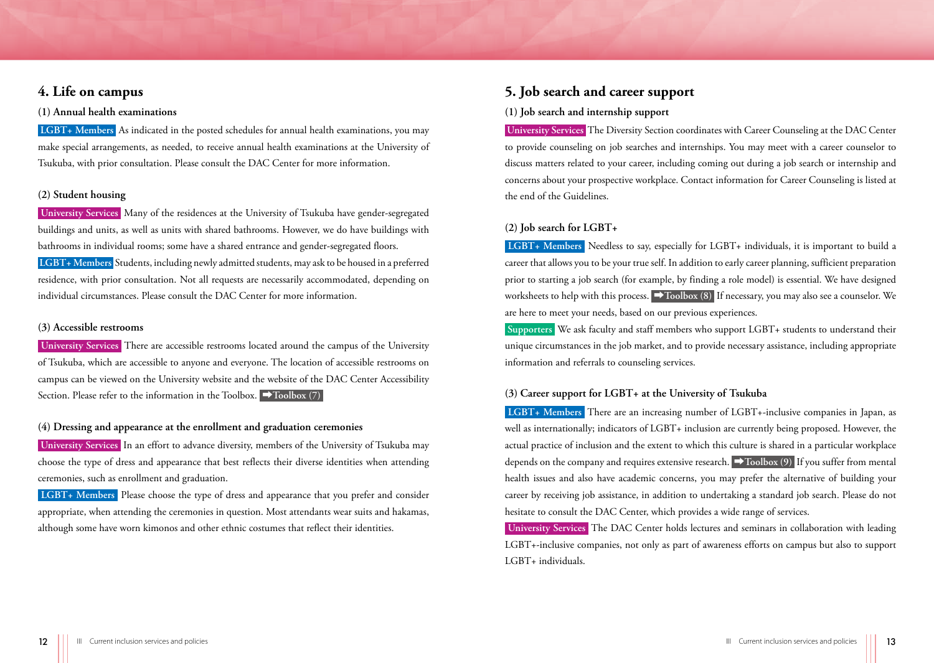#### <span id="page-6-0"></span>**4. Life on campus**

#### <span id="page-6-1"></span>**(1) Annual health examinations**

 **LGBT+ Members** As indicated in the posted schedules for annual health examinations, you may make special arrangements, as needed, to receive annual health examinations at the University of Tsukuba, with prior consultation. Please consult the DAC Center for more information.

#### <span id="page-6-2"></span>**(2) Student housing**

 **University Services** Many of the residences at the University of Tsukuba have gender-segregated buildings and units, as well as units with shared bathrooms. However, we do have buildings with bathrooms in individual rooms; some have a shared entrance and gender-segregated floors.  **LGBT+ Members** Students, including newly admitted students, may ask to be housed in a preferred residence, with prior consultation. Not all requests are necessarily accommodated, depending on individual circumstances. Please consult the DAC Center for more information.

#### <span id="page-6-3"></span>**(3) Accessible restrooms**

 **University Services** There are accessible restrooms located around the campus of the University of Tsukuba, which are accessible to anyone and everyone. The location of accessible restrooms on campus can be viewed on the University website and the website of the DAC Center Accessibility Section. Please refer to the information in the Toolbox. ➡**[Toolbox \(7\)](#page-11-4)** 

#### <span id="page-6-4"></span>**(4) Dressing and appearance at the enrollment and graduation ceremonies**

 **University Services** In an effort to advance diversity, members of the University of Tsukuba may choose the type of dress and appearance that best reflects their diverse identities when attending ceremonies, such as enrollment and graduation.

 **LGBT+ Members** Please choose the type of dress and appearance that you prefer and consider appropriate, when attending the ceremonies in question. Most attendants wear suits and hakamas, although some have worn kimonos and other ethnic costumes that reflect their identities.

#### <span id="page-6-5"></span>**5. Job search and career support**

#### <span id="page-6-6"></span>**(1) Job search and internship support**

 **University Services** The Diversity Section coordinates with Career Counseling at the DAC Center to provide counseling on job searches and internships. You may meet with a career counselor to discuss matters related to your career, including coming out during a job search or internship and concerns about your prospective workplace. Contact information for Career Counseling is listed at the end of the Guidelines.

#### <span id="page-6-7"></span>**(2) Job search for LGBT+**

 **LGBT+ Members** Needless to say, especially for LGBT+ individuals, it is important to build a career that allows you to be your true self. In addition to early career planning, sufficient preparation prior to starting a job search (for example, by finding a role model) is essential. We have designed worksheets to help with this process. ➡**[Toolbox \(8\)](#page-11-5)** If necessary, you may also see a counselor. We are here to meet your needs, based on our previous experiences.

 **Supporters** We ask faculty and staff members who support LGBT+ students to understand their unique circumstances in the job market, and to provide necessary assistance, including appropriate information and referrals to counseling services.

#### <span id="page-6-8"></span>**(3) Career support for LGBT+ at the University of Tsukuba**

 **LGBT+ Members** There are an increasing number of LGBT+-inclusive companies in Japan, as well as internationally; indicators of LGBT+ inclusion are currently being proposed. However, the actual practice of inclusion and the extent to which this culture is shared in a particular workplace depends on the company and requires extensive research. ➡**[Toolbox \(9\)](#page-12-0)** If you suffer from mental health issues and also have academic concerns, you may prefer the alternative of building your career by receiving job assistance, in addition to undertaking a standard job search. Please do not hesitate to consult the DAC Center, which provides a wide range of services.

 **University Services** The DAC Center holds lectures and seminars in collaboration with leading LGBT+-inclusive companies, not only as part of awareness efforts on campus but also to support LGBT+ individuals.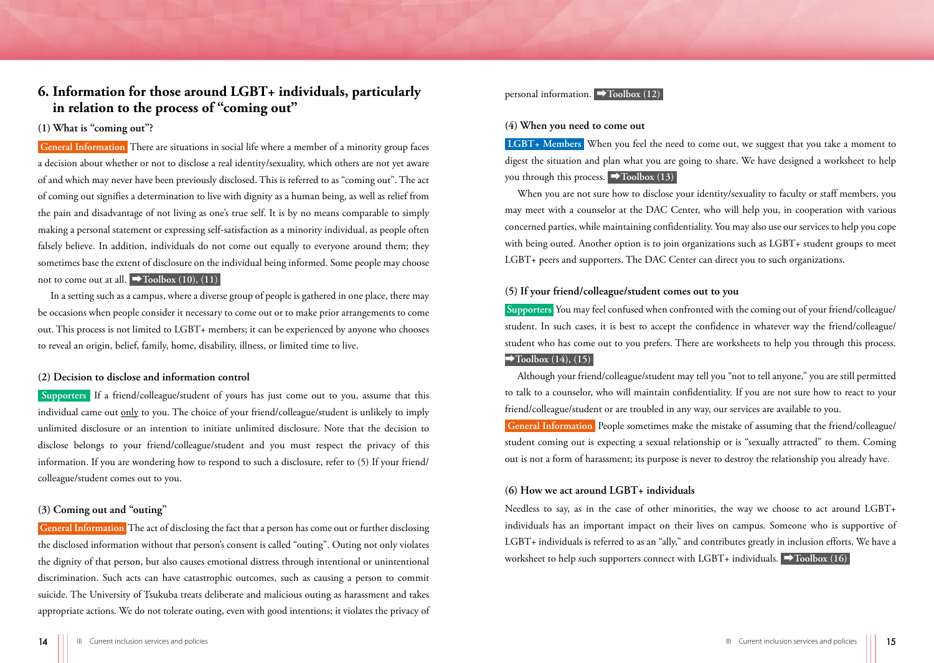#### <span id="page-7-0"></span>**6. Information for those around LGBT+ individuals, particularly in relation to the process of "coming out"**

#### <span id="page-7-1"></span>**(1) What is "coming out"?**

 **General Information** There are situations in social life where a member of a minority group faces a decision about whether or not to disclose a real identity/sexuality, which others are not yet aware of and which may never have been previously disclosed. This is referred to as "coming out". The act of coming out signifies a determination to live with dignity as a human being, as well as relief from the pain and disadvantage of not living as one's true self. It is by no means comparable to simply making a personal statement or expressing self-satisfaction as a minority individual, as people often falsely believe. In addition, individuals do not come out equally to everyone around them; they sometimes base the extent of disclosure on the individual being informed. Some people may choose not to come out at all.  $\rightarrow$ **Toolbox** (10), (11)

In a setting such as a campus, where a diverse group of people is gathered in one place, there may be occasions when people consider it necessary to come out or to make prior arrangements to come out. This process is not limited to LGBT+ members; it can be experienced by anyone who chooses to reveal an origin, belief, family, home, disability, illness, or limited time to live.

#### <span id="page-7-2"></span>**(2) Decision to disclose and information control**

 **Supporters** If a friend/colleague/student of yours has just come out to you, assume that this individual came out only to you. The choice of your friend/colleague/student is unlikely to imply unlimited disclosure or an intention to initiate unlimited disclosure. Note that the decision to disclose belongs to your friend/colleague/student and you must respect the privacy of this information. If you are wondering how to respond to such a disclosure, refer to (5) If your friend/ colleague/student comes out to you.

#### <span id="page-7-3"></span>**(3) Coming out and "outing"**

 **General Information** The act of disclosing the fact that a person has come out or further disclosing the disclosed information without that person's consent is called "outing". Outing not only violates the dignity of that person, but also causes emotional distress through intentional or unintentional discrimination. Such acts can have catastrophic outcomes, such as causing a person to commit suicide. The University of Tsukuba treats deliberate and malicious outing as harassment and takes appropriate actions. We do not tolerate outing, even with good intentions; it violates the privacy of

#### personal information. ➡**[Toolbox \(12\)](#page-12-3)**

#### <span id="page-7-4"></span>**(4) When you need to come out**

 **LGBT+ Members** When you feel the need to come out, we suggest that you take a moment to digest the situation and plan what you are going to share. We have designed a worksheet to help you through this process. ➡**[Toolbox \(13\)](#page-13-0)** 

When you are not sure how to disclose your identity/sexuality to faculty or staff members, you may meet with a counselor at the DAC Center, who will help you, in cooperation with various concerned parties, while maintaining confidentiality. You may also use our services to help you cope with being outed. Another option is to join organizations such as LGBT+ student groups to meet LGBT+ peers and supporters. The DAC Center can direct you to such organizations.

#### <span id="page-7-5"></span>**(5) If your friend/colleague/student comes out to you**

 **Supporters** You may feel confused when confronted with the coming out of your friend/colleague/ student. In such cases, it is best to accept the confidence in whatever way the friend/colleague/ student who has come out to you prefers. There are worksheets to help you through this process.  $\rightarrow$ [Toolbox \(14\),](#page-13-1) (15)

Although your friend/colleague/student may tell you "not to tell anyone," you are still permitted to talk to a counselor, who will maintain confidentiality. If you are not sure how to react to your friend/colleague/student or are troubled in any way, our services are available to you.

 **General Information** People sometimes make the mistake of assuming that the friend/colleague/ student coming out is expecting a sexual relationship or is "sexually attracted" to them. Coming out is not a form of harassment; its purpose is never to destroy the relationship you already have.

#### <span id="page-7-6"></span>**(6) How we act around LGBT+ individuals**

Needless to say, as in the case of other minorities, the way we choose to act around LGBT+ individuals has an important impact on their lives on campus. Someone who is supportive of LGBT+ individuals is referred to as an "ally," and contributes greatly in inclusion efforts. We have a worksheet to help such supporters connect with LGBT+ individuals. ➡**[Toolbox \(16\)](#page-13-3)**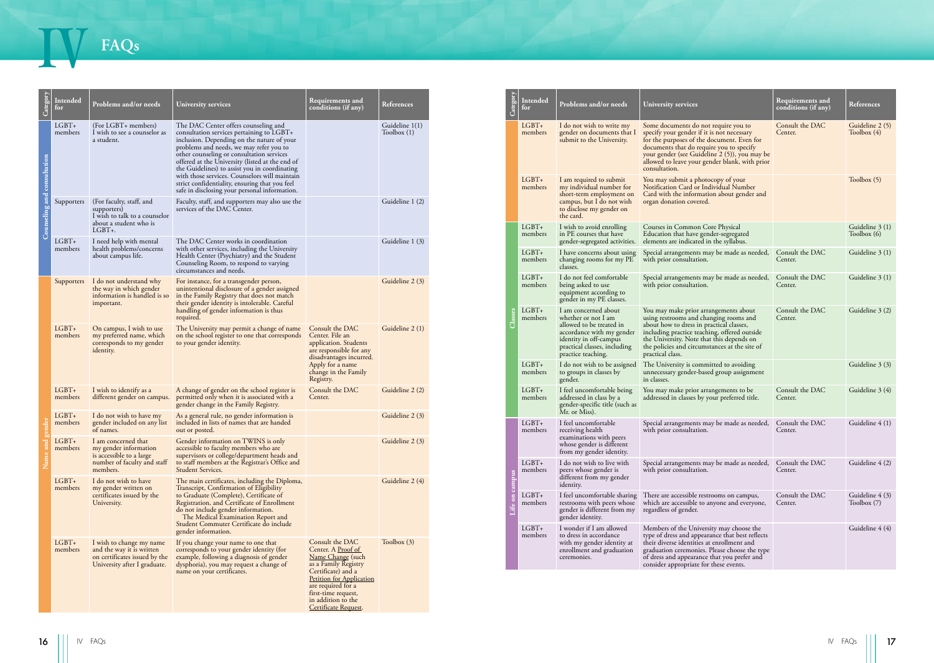## <span id="page-8-0"></span>IV **FAQs**

| LGBT+<br>(For LGBT+ members)<br>The DAC Center offers counseling and<br>Guideline 1(1)<br>$LGBT+$<br>I do not wish to write my<br>Some documents do not require you to<br>Consult the DAC<br>I wish to see a counselor as<br>consultation services pertaining to LGBT+<br>Toolbox $(1)$<br>gender on documents that<br>specify your gender if it is not necessary<br>Toolbox (4)<br>members<br>members<br>Center.<br>inclusion. Depending on the nature of your<br>a student.<br>submit to the University.<br>for the purposes of the document. Even for<br>problems and needs, we may refer you to<br>documents that do require you to specify<br>other counseling or consultation services<br>your gender (see Guideline 2 (5)), you may be<br>consultation<br>offered at the University (listed at the end of<br>allowed to leave your gender blank, with prior<br>the Guidelines) to assist you in coordinating<br>consultation.<br>with those services. Counselors will maintain<br>$LGBT+$<br>Toolbox (5)<br>I am required to submit<br>You may submit a photocopy of your<br>strict confidentiality, ensuring that you feel<br>my individual number for<br>Notification Card or Individual Number<br>members<br>safe in disclosing your personal information.<br>short-term employment on<br>Card with the information about gender and<br>Guideline 1 (2)<br>Supporters (For faculty, staff, and<br>Faculty, staff, and supporters may also use the<br>campus, but I do not wish<br>organ donation covered.<br>supporters)<br>services of the DAC Center.<br>to disclose my gender on<br>the card.<br>I wish to talk to a counselor<br>about a student who is<br>$LGBT+$<br>I wish to avoid enrolling<br>Courses in Common Core Physical<br>$LGBT+$ .<br>Toolbox $(6)$<br>members<br>in PE courses that have<br>Education that have gender-segregated<br>LGBT+<br>I need help with mental<br>Guideline 1 (3)<br>elements are indicated in the syllabus.<br>The DAC Center works in coordination<br>gender-segregated activities.<br>health problems/concerns<br>with other services, including the University<br>members<br>$LGBT+$<br>Consult the DAC<br>I have concerns about using<br>Special arrangements may be made as needed,<br>about campus life.<br>Health Center (Psychiatry) and the Student<br>members<br>changing rooms for my PE<br>with prior consultation.<br>Center.<br>Counseling Room, to respond to varying<br>classes.<br>circumstances and needs.<br>$LGBT+$<br>I do not feel comfortable<br>Special arrangements may be made as needed,<br>Consult the DAC<br>Guideline 3 (1)<br>Guideline 2 (3)<br>I do not understand why<br>For instance, for a transgender person,<br>Supporters<br>being asked to use<br>with prior consultation.<br>members<br>Center.<br>unintentional disclosure of a gender assigned<br>the way in which gender<br>equipment according to<br>information is handled is so<br>in the Family Registry that does not match<br>gender in my PE classes.<br>their gender identity is intolerable. Careful<br>important.<br>handling of gender information is thus<br>$LGBT+$<br>I am concerned about<br>Consult the DAC<br>You may make prior arrangements about<br>required.<br>whether or not I am<br>members<br>using restrooms and changing rooms and<br>Center.<br>allowed to be treated in<br>about how to dress in practical classes,<br>$LGBT+$<br>Consult the DAC<br>Guideline 2 (1)<br>On campus, I wish to use<br>The University may permit a change of name<br>accordance with my gender<br>including practice teaching, offered outside<br>my preferred name, which<br>on the school register to one that corresponds<br>Center. File an<br>members<br>the University. Note that this depends on<br>identity in off-campus<br>corresponds to my gender<br>to your gender identity.<br>application. Students<br>practical classes, including<br>the policies and circumstances at the site of<br>are responsible for any<br>identity.<br>practice teaching.<br>practical class.<br>disadvantages incurred.<br>$LGBT+$<br>Apply for a name<br>I do not wish to be assigned<br>The University is committed to avoiding<br>change in the Family<br>members<br>to groups in classes by<br>unnecessary gender-based group assignment<br>Registry.<br>gender.<br>in classes.<br>$LGBT+$<br>Consult the DAC<br>$LGBT+$<br>Consult the DAC<br>Guideline 2 (2)<br>I feel uncomfortable being<br>You may make prior arrangements to be<br>I wish to identify as a<br>A change of gender on the school register is<br>permitted only when it is associated with a<br>addressed in class by a<br>different gender on campus.<br>members<br>members<br>Center.<br>addressed in classes by your preferred title.<br>Center.<br>gender change in the Family Registry.<br>gender-specific title (such as<br>Mr. or Miss).<br>$LGBT+$<br>As a general rule, no gender information is<br>Guideline 2 (3)<br>I do not wish to have my<br>gender included on any list<br>included in lists of names that are handed<br>$LGBT+$<br>I feel uncomfortable<br>Consult the DAC<br>members<br>Special arrangements may be made as needed,<br>of names.<br>out or posted.<br>receiving health<br>with prior consultation.<br>members<br>Center.<br>examinations with peers<br>$LGBT+$<br>I am concerned that<br>Gender information on TWINS is only<br>Guideline 2 (3)<br>whose gender is different<br>my gender information<br>accessible to faculty members who are<br>members<br>from my gender identity.<br>is accessible to a large<br>supervisors or college/department heads and<br>$LGBT+$<br>I do not wish to live with<br>Special arrangements may be made as needed, Consult the DAC<br>Guideline 4 (2)<br>number of faculty and staff<br>to staff members at the Registrar's Office and<br>members.<br>Student Services.<br>members<br>peers whose gender is<br>with prior consultation.<br>Center.<br>different from my gender<br>$LGBT+$<br>I do not wish to have<br>The main certificates, including the Diploma,<br>Guideline 2 (4)<br>identity.<br>Transcript, Confirmation of Eligibility<br>members<br>my gender written on<br>to Graduate (Complete), Certificate of<br>Registration, and Certificate of Enrollment<br>$LGBT+$<br>Consult the DAC<br>certificates issued by the<br>I feel uncomfortable sharing<br>There are accessible restrooms on campus,<br>University.<br>members<br>restrooms with peers whose<br>which are accessible to anyone and everyone,<br>Center.<br>Toolbox $(7)$<br>do not include gender information.<br>gender is different from my<br>regardless of gender.<br>The Medical Examination Report and<br>gender identity.<br>Student Commuter Certificate do include<br>$LGBT+$<br>I wonder if I am allowed<br>Members of the University may choose the<br>gender information.<br>type of dress and appearance that best reflects<br>members<br>to dress in accordance<br>$LGBT+$<br>If you change your name to one that<br>Consult the DAC<br>Toolbox (3)<br>I wish to change my name<br>with my gender identity at<br>their diverse identities at enrollment and<br>corresponds to your gender identity (for<br>Center. A Proof of<br>and the way it is written<br>members<br>enrollment and graduation<br>graduation ceremonies. Please choose the type<br>Name Change (such<br>example, following a diagnosis of gender<br>of dress and appearance that you prefer and<br>on certificates issued by the<br>ceremonies.<br>as a Family Registry<br>University after I graduate.<br>dysphoria), you may request a change of<br>consider appropriate for these events.<br>Certificate) and a<br>name on your certificates.<br><b>Petition for Application</b><br>are required for a<br>first-time request,<br>in addition to the<br><b>Certificate Request</b><br>IV FAQs<br>IV FAQs<br>16 | Intended<br>for | Problems and/or needs | University services | Requirements and<br>conditions (if any) | References |  | Intended<br>for | Problems and/or needs | University services | Requirements and<br>conditions (if any) | References      |
|-------------------------------------------------------------------------------------------------------------------------------------------------------------------------------------------------------------------------------------------------------------------------------------------------------------------------------------------------------------------------------------------------------------------------------------------------------------------------------------------------------------------------------------------------------------------------------------------------------------------------------------------------------------------------------------------------------------------------------------------------------------------------------------------------------------------------------------------------------------------------------------------------------------------------------------------------------------------------------------------------------------------------------------------------------------------------------------------------------------------------------------------------------------------------------------------------------------------------------------------------------------------------------------------------------------------------------------------------------------------------------------------------------------------------------------------------------------------------------------------------------------------------------------------------------------------------------------------------------------------------------------------------------------------------------------------------------------------------------------------------------------------------------------------------------------------------------------------------------------------------------------------------------------------------------------------------------------------------------------------------------------------------------------------------------------------------------------------------------------------------------------------------------------------------------------------------------------------------------------------------------------------------------------------------------------------------------------------------------------------------------------------------------------------------------------------------------------------------------------------------------------------------------------------------------------------------------------------------------------------------------------------------------------------------------------------------------------------------------------------------------------------------------------------------------------------------------------------------------------------------------------------------------------------------------------------------------------------------------------------------------------------------------------------------------------------------------------------------------------------------------------------------------------------------------------------------------------------------------------------------------------------------------------------------------------------------------------------------------------------------------------------------------------------------------------------------------------------------------------------------------------------------------------------------------------------------------------------------------------------------------------------------------------------------------------------------------------------------------------------------------------------------------------------------------------------------------------------------------------------------------------------------------------------------------------------------------------------------------------------------------------------------------------------------------------------------------------------------------------------------------------------------------------------------------------------------------------------------------------------------------------------------------------------------------------------------------------------------------------------------------------------------------------------------------------------------------------------------------------------------------------------------------------------------------------------------------------------------------------------------------------------------------------------------------------------------------------------------------------------------------------------------------------------------------------------------------------------------------------------------------------------------------------------------------------------------------------------------------------------------------------------------------------------------------------------------------------------------------------------------------------------------------------------------------------------------------------------------------------------------------------------------------------------------------------------------------------------------------------------------------------------------------------------------------------------------------------------------------------------------------------------------------------------------------------------------------------------------------------------------------------------------------------------------------------------------------------------------------------------------------------------------------------------------------------------------------------------------------------------------------------------------------------------------------------------------------------------------------------------------------------------------------------------------------------------------------------------------------------------------------------------------------------------------------------------------------------------------------------------------------------------------------------------------------------------------------------------------------------------------------------------------------------------------------------------------------------------------------------------------------------------------------------------------------------------------------------------------------------------------------------------------------------------------------------------------------------------------------------------------------------------------------------------------------------------------------------------------------------------------------------------------------------------------------------------------------------------------------------------------------------------------------------------------------------------------------------------------------------------------------------------------------------------------------------------------------------------------------------------------------------------------------------------------------------------------------------------------------------------------------------------------------------------------------------------------------------------------------------------------------------------------------------------------------------------------------------------------------------------------------------------------------------------------------------------------------------------------------------------------------------------------------------------------------------------------------------------------------------------------------------|-----------------|-----------------------|---------------------|-----------------------------------------|------------|--|-----------------|-----------------------|---------------------|-----------------------------------------|-----------------|
|                                                                                                                                                                                                                                                                                                                                                                                                                                                                                                                                                                                                                                                                                                                                                                                                                                                                                                                                                                                                                                                                                                                                                                                                                                                                                                                                                                                                                                                                                                                                                                                                                                                                                                                                                                                                                                                                                                                                                                                                                                                                                                                                                                                                                                                                                                                                                                                                                                                                                                                                                                                                                                                                                                                                                                                                                                                                                                                                                                                                                                                                                                                                                                                                                                                                                                                                                                                                                                                                                                                                                                                                                                                                                                                                                                                                                                                                                                                                                                                                                                                                                                                                                                                                                                                                                                                                                                                                                                                                                                                                                                                                                                                                                                                                                                                                                                                                                                                                                                                                                                                                                                                                                                                                                                                                                                                                                                                                                                                                                                                                                                                                                                                                                                                                                                                                                                                                                                                                                                                                                                                                                                                                                                                                                                                                                                                                                                                                                                                                                                                                                                                                                                                                                                                                                                                                                                                                                                                                                                                                                                                                                                                                                                                                                                                                                                                                                                                                                                                                                                                                                                                                                                                                                                                                                                                                                                                                                     |                 |                       |                     |                                         |            |  |                 |                       |                     | Guideline 2 (5)                         |                 |
|                                                                                                                                                                                                                                                                                                                                                                                                                                                                                                                                                                                                                                                                                                                                                                                                                                                                                                                                                                                                                                                                                                                                                                                                                                                                                                                                                                                                                                                                                                                                                                                                                                                                                                                                                                                                                                                                                                                                                                                                                                                                                                                                                                                                                                                                                                                                                                                                                                                                                                                                                                                                                                                                                                                                                                                                                                                                                                                                                                                                                                                                                                                                                                                                                                                                                                                                                                                                                                                                                                                                                                                                                                                                                                                                                                                                                                                                                                                                                                                                                                                                                                                                                                                                                                                                                                                                                                                                                                                                                                                                                                                                                                                                                                                                                                                                                                                                                                                                                                                                                                                                                                                                                                                                                                                                                                                                                                                                                                                                                                                                                                                                                                                                                                                                                                                                                                                                                                                                                                                                                                                                                                                                                                                                                                                                                                                                                                                                                                                                                                                                                                                                                                                                                                                                                                                                                                                                                                                                                                                                                                                                                                                                                                                                                                                                                                                                                                                                                                                                                                                                                                                                                                                                                                                                                                                                                                                                                     |                 |                       |                     |                                         |            |  |                 |                       |                     |                                         |                 |
|                                                                                                                                                                                                                                                                                                                                                                                                                                                                                                                                                                                                                                                                                                                                                                                                                                                                                                                                                                                                                                                                                                                                                                                                                                                                                                                                                                                                                                                                                                                                                                                                                                                                                                                                                                                                                                                                                                                                                                                                                                                                                                                                                                                                                                                                                                                                                                                                                                                                                                                                                                                                                                                                                                                                                                                                                                                                                                                                                                                                                                                                                                                                                                                                                                                                                                                                                                                                                                                                                                                                                                                                                                                                                                                                                                                                                                                                                                                                                                                                                                                                                                                                                                                                                                                                                                                                                                                                                                                                                                                                                                                                                                                                                                                                                                                                                                                                                                                                                                                                                                                                                                                                                                                                                                                                                                                                                                                                                                                                                                                                                                                                                                                                                                                                                                                                                                                                                                                                                                                                                                                                                                                                                                                                                                                                                                                                                                                                                                                                                                                                                                                                                                                                                                                                                                                                                                                                                                                                                                                                                                                                                                                                                                                                                                                                                                                                                                                                                                                                                                                                                                                                                                                                                                                                                                                                                                                                                     |                 |                       |                     |                                         |            |  |                 |                       |                     |                                         | Guideline 3 (1) |
|                                                                                                                                                                                                                                                                                                                                                                                                                                                                                                                                                                                                                                                                                                                                                                                                                                                                                                                                                                                                                                                                                                                                                                                                                                                                                                                                                                                                                                                                                                                                                                                                                                                                                                                                                                                                                                                                                                                                                                                                                                                                                                                                                                                                                                                                                                                                                                                                                                                                                                                                                                                                                                                                                                                                                                                                                                                                                                                                                                                                                                                                                                                                                                                                                                                                                                                                                                                                                                                                                                                                                                                                                                                                                                                                                                                                                                                                                                                                                                                                                                                                                                                                                                                                                                                                                                                                                                                                                                                                                                                                                                                                                                                                                                                                                                                                                                                                                                                                                                                                                                                                                                                                                                                                                                                                                                                                                                                                                                                                                                                                                                                                                                                                                                                                                                                                                                                                                                                                                                                                                                                                                                                                                                                                                                                                                                                                                                                                                                                                                                                                                                                                                                                                                                                                                                                                                                                                                                                                                                                                                                                                                                                                                                                                                                                                                                                                                                                                                                                                                                                                                                                                                                                                                                                                                                                                                                                                                     |                 |                       |                     |                                         |            |  |                 |                       |                     |                                         | Guideline 3 (1) |
|                                                                                                                                                                                                                                                                                                                                                                                                                                                                                                                                                                                                                                                                                                                                                                                                                                                                                                                                                                                                                                                                                                                                                                                                                                                                                                                                                                                                                                                                                                                                                                                                                                                                                                                                                                                                                                                                                                                                                                                                                                                                                                                                                                                                                                                                                                                                                                                                                                                                                                                                                                                                                                                                                                                                                                                                                                                                                                                                                                                                                                                                                                                                                                                                                                                                                                                                                                                                                                                                                                                                                                                                                                                                                                                                                                                                                                                                                                                                                                                                                                                                                                                                                                                                                                                                                                                                                                                                                                                                                                                                                                                                                                                                                                                                                                                                                                                                                                                                                                                                                                                                                                                                                                                                                                                                                                                                                                                                                                                                                                                                                                                                                                                                                                                                                                                                                                                                                                                                                                                                                                                                                                                                                                                                                                                                                                                                                                                                                                                                                                                                                                                                                                                                                                                                                                                                                                                                                                                                                                                                                                                                                                                                                                                                                                                                                                                                                                                                                                                                                                                                                                                                                                                                                                                                                                                                                                                                                     |                 |                       |                     |                                         |            |  |                 |                       |                     |                                         |                 |
|                                                                                                                                                                                                                                                                                                                                                                                                                                                                                                                                                                                                                                                                                                                                                                                                                                                                                                                                                                                                                                                                                                                                                                                                                                                                                                                                                                                                                                                                                                                                                                                                                                                                                                                                                                                                                                                                                                                                                                                                                                                                                                                                                                                                                                                                                                                                                                                                                                                                                                                                                                                                                                                                                                                                                                                                                                                                                                                                                                                                                                                                                                                                                                                                                                                                                                                                                                                                                                                                                                                                                                                                                                                                                                                                                                                                                                                                                                                                                                                                                                                                                                                                                                                                                                                                                                                                                                                                                                                                                                                                                                                                                                                                                                                                                                                                                                                                                                                                                                                                                                                                                                                                                                                                                                                                                                                                                                                                                                                                                                                                                                                                                                                                                                                                                                                                                                                                                                                                                                                                                                                                                                                                                                                                                                                                                                                                                                                                                                                                                                                                                                                                                                                                                                                                                                                                                                                                                                                                                                                                                                                                                                                                                                                                                                                                                                                                                                                                                                                                                                                                                                                                                                                                                                                                                                                                                                                                                     |                 |                       |                     |                                         |            |  |                 |                       |                     |                                         |                 |
|                                                                                                                                                                                                                                                                                                                                                                                                                                                                                                                                                                                                                                                                                                                                                                                                                                                                                                                                                                                                                                                                                                                                                                                                                                                                                                                                                                                                                                                                                                                                                                                                                                                                                                                                                                                                                                                                                                                                                                                                                                                                                                                                                                                                                                                                                                                                                                                                                                                                                                                                                                                                                                                                                                                                                                                                                                                                                                                                                                                                                                                                                                                                                                                                                                                                                                                                                                                                                                                                                                                                                                                                                                                                                                                                                                                                                                                                                                                                                                                                                                                                                                                                                                                                                                                                                                                                                                                                                                                                                                                                                                                                                                                                                                                                                                                                                                                                                                                                                                                                                                                                                                                                                                                                                                                                                                                                                                                                                                                                                                                                                                                                                                                                                                                                                                                                                                                                                                                                                                                                                                                                                                                                                                                                                                                                                                                                                                                                                                                                                                                                                                                                                                                                                                                                                                                                                                                                                                                                                                                                                                                                                                                                                                                                                                                                                                                                                                                                                                                                                                                                                                                                                                                                                                                                                                                                                                                                                     |                 |                       |                     |                                         |            |  |                 |                       |                     | Guideline 3 (2)                         |                 |
|                                                                                                                                                                                                                                                                                                                                                                                                                                                                                                                                                                                                                                                                                                                                                                                                                                                                                                                                                                                                                                                                                                                                                                                                                                                                                                                                                                                                                                                                                                                                                                                                                                                                                                                                                                                                                                                                                                                                                                                                                                                                                                                                                                                                                                                                                                                                                                                                                                                                                                                                                                                                                                                                                                                                                                                                                                                                                                                                                                                                                                                                                                                                                                                                                                                                                                                                                                                                                                                                                                                                                                                                                                                                                                                                                                                                                                                                                                                                                                                                                                                                                                                                                                                                                                                                                                                                                                                                                                                                                                                                                                                                                                                                                                                                                                                                                                                                                                                                                                                                                                                                                                                                                                                                                                                                                                                                                                                                                                                                                                                                                                                                                                                                                                                                                                                                                                                                                                                                                                                                                                                                                                                                                                                                                                                                                                                                                                                                                                                                                                                                                                                                                                                                                                                                                                                                                                                                                                                                                                                                                                                                                                                                                                                                                                                                                                                                                                                                                                                                                                                                                                                                                                                                                                                                                                                                                                                                                     |                 |                       |                     |                                         |            |  |                 |                       |                     |                                         | Guideline 3 (3) |
|                                                                                                                                                                                                                                                                                                                                                                                                                                                                                                                                                                                                                                                                                                                                                                                                                                                                                                                                                                                                                                                                                                                                                                                                                                                                                                                                                                                                                                                                                                                                                                                                                                                                                                                                                                                                                                                                                                                                                                                                                                                                                                                                                                                                                                                                                                                                                                                                                                                                                                                                                                                                                                                                                                                                                                                                                                                                                                                                                                                                                                                                                                                                                                                                                                                                                                                                                                                                                                                                                                                                                                                                                                                                                                                                                                                                                                                                                                                                                                                                                                                                                                                                                                                                                                                                                                                                                                                                                                                                                                                                                                                                                                                                                                                                                                                                                                                                                                                                                                                                                                                                                                                                                                                                                                                                                                                                                                                                                                                                                                                                                                                                                                                                                                                                                                                                                                                                                                                                                                                                                                                                                                                                                                                                                                                                                                                                                                                                                                                                                                                                                                                                                                                                                                                                                                                                                                                                                                                                                                                                                                                                                                                                                                                                                                                                                                                                                                                                                                                                                                                                                                                                                                                                                                                                                                                                                                                                                     |                 |                       |                     |                                         |            |  |                 |                       |                     |                                         | Guideline 3 (4) |
|                                                                                                                                                                                                                                                                                                                                                                                                                                                                                                                                                                                                                                                                                                                                                                                                                                                                                                                                                                                                                                                                                                                                                                                                                                                                                                                                                                                                                                                                                                                                                                                                                                                                                                                                                                                                                                                                                                                                                                                                                                                                                                                                                                                                                                                                                                                                                                                                                                                                                                                                                                                                                                                                                                                                                                                                                                                                                                                                                                                                                                                                                                                                                                                                                                                                                                                                                                                                                                                                                                                                                                                                                                                                                                                                                                                                                                                                                                                                                                                                                                                                                                                                                                                                                                                                                                                                                                                                                                                                                                                                                                                                                                                                                                                                                                                                                                                                                                                                                                                                                                                                                                                                                                                                                                                                                                                                                                                                                                                                                                                                                                                                                                                                                                                                                                                                                                                                                                                                                                                                                                                                                                                                                                                                                                                                                                                                                                                                                                                                                                                                                                                                                                                                                                                                                                                                                                                                                                                                                                                                                                                                                                                                                                                                                                                                                                                                                                                                                                                                                                                                                                                                                                                                                                                                                                                                                                                                                     |                 |                       |                     |                                         |            |  |                 |                       |                     |                                         | Guideline 4 (1) |
|                                                                                                                                                                                                                                                                                                                                                                                                                                                                                                                                                                                                                                                                                                                                                                                                                                                                                                                                                                                                                                                                                                                                                                                                                                                                                                                                                                                                                                                                                                                                                                                                                                                                                                                                                                                                                                                                                                                                                                                                                                                                                                                                                                                                                                                                                                                                                                                                                                                                                                                                                                                                                                                                                                                                                                                                                                                                                                                                                                                                                                                                                                                                                                                                                                                                                                                                                                                                                                                                                                                                                                                                                                                                                                                                                                                                                                                                                                                                                                                                                                                                                                                                                                                                                                                                                                                                                                                                                                                                                                                                                                                                                                                                                                                                                                                                                                                                                                                                                                                                                                                                                                                                                                                                                                                                                                                                                                                                                                                                                                                                                                                                                                                                                                                                                                                                                                                                                                                                                                                                                                                                                                                                                                                                                                                                                                                                                                                                                                                                                                                                                                                                                                                                                                                                                                                                                                                                                                                                                                                                                                                                                                                                                                                                                                                                                                                                                                                                                                                                                                                                                                                                                                                                                                                                                                                                                                                                                     |                 |                       |                     |                                         |            |  |                 |                       |                     |                                         |                 |
|                                                                                                                                                                                                                                                                                                                                                                                                                                                                                                                                                                                                                                                                                                                                                                                                                                                                                                                                                                                                                                                                                                                                                                                                                                                                                                                                                                                                                                                                                                                                                                                                                                                                                                                                                                                                                                                                                                                                                                                                                                                                                                                                                                                                                                                                                                                                                                                                                                                                                                                                                                                                                                                                                                                                                                                                                                                                                                                                                                                                                                                                                                                                                                                                                                                                                                                                                                                                                                                                                                                                                                                                                                                                                                                                                                                                                                                                                                                                                                                                                                                                                                                                                                                                                                                                                                                                                                                                                                                                                                                                                                                                                                                                                                                                                                                                                                                                                                                                                                                                                                                                                                                                                                                                                                                                                                                                                                                                                                                                                                                                                                                                                                                                                                                                                                                                                                                                                                                                                                                                                                                                                                                                                                                                                                                                                                                                                                                                                                                                                                                                                                                                                                                                                                                                                                                                                                                                                                                                                                                                                                                                                                                                                                                                                                                                                                                                                                                                                                                                                                                                                                                                                                                                                                                                                                                                                                                                                     |                 |                       |                     |                                         |            |  |                 |                       |                     |                                         |                 |
|                                                                                                                                                                                                                                                                                                                                                                                                                                                                                                                                                                                                                                                                                                                                                                                                                                                                                                                                                                                                                                                                                                                                                                                                                                                                                                                                                                                                                                                                                                                                                                                                                                                                                                                                                                                                                                                                                                                                                                                                                                                                                                                                                                                                                                                                                                                                                                                                                                                                                                                                                                                                                                                                                                                                                                                                                                                                                                                                                                                                                                                                                                                                                                                                                                                                                                                                                                                                                                                                                                                                                                                                                                                                                                                                                                                                                                                                                                                                                                                                                                                                                                                                                                                                                                                                                                                                                                                                                                                                                                                                                                                                                                                                                                                                                                                                                                                                                                                                                                                                                                                                                                                                                                                                                                                                                                                                                                                                                                                                                                                                                                                                                                                                                                                                                                                                                                                                                                                                                                                                                                                                                                                                                                                                                                                                                                                                                                                                                                                                                                                                                                                                                                                                                                                                                                                                                                                                                                                                                                                                                                                                                                                                                                                                                                                                                                                                                                                                                                                                                                                                                                                                                                                                                                                                                                                                                                                                                     |                 |                       |                     |                                         |            |  |                 |                       |                     |                                         | Guideline 4 (3) |
|                                                                                                                                                                                                                                                                                                                                                                                                                                                                                                                                                                                                                                                                                                                                                                                                                                                                                                                                                                                                                                                                                                                                                                                                                                                                                                                                                                                                                                                                                                                                                                                                                                                                                                                                                                                                                                                                                                                                                                                                                                                                                                                                                                                                                                                                                                                                                                                                                                                                                                                                                                                                                                                                                                                                                                                                                                                                                                                                                                                                                                                                                                                                                                                                                                                                                                                                                                                                                                                                                                                                                                                                                                                                                                                                                                                                                                                                                                                                                                                                                                                                                                                                                                                                                                                                                                                                                                                                                                                                                                                                                                                                                                                                                                                                                                                                                                                                                                                                                                                                                                                                                                                                                                                                                                                                                                                                                                                                                                                                                                                                                                                                                                                                                                                                                                                                                                                                                                                                                                                                                                                                                                                                                                                                                                                                                                                                                                                                                                                                                                                                                                                                                                                                                                                                                                                                                                                                                                                                                                                                                                                                                                                                                                                                                                                                                                                                                                                                                                                                                                                                                                                                                                                                                                                                                                                                                                                                                     |                 |                       |                     |                                         |            |  |                 |                       |                     | Guideline 4 (4)                         |                 |
|                                                                                                                                                                                                                                                                                                                                                                                                                                                                                                                                                                                                                                                                                                                                                                                                                                                                                                                                                                                                                                                                                                                                                                                                                                                                                                                                                                                                                                                                                                                                                                                                                                                                                                                                                                                                                                                                                                                                                                                                                                                                                                                                                                                                                                                                                                                                                                                                                                                                                                                                                                                                                                                                                                                                                                                                                                                                                                                                                                                                                                                                                                                                                                                                                                                                                                                                                                                                                                                                                                                                                                                                                                                                                                                                                                                                                                                                                                                                                                                                                                                                                                                                                                                                                                                                                                                                                                                                                                                                                                                                                                                                                                                                                                                                                                                                                                                                                                                                                                                                                                                                                                                                                                                                                                                                                                                                                                                                                                                                                                                                                                                                                                                                                                                                                                                                                                                                                                                                                                                                                                                                                                                                                                                                                                                                                                                                                                                                                                                                                                                                                                                                                                                                                                                                                                                                                                                                                                                                                                                                                                                                                                                                                                                                                                                                                                                                                                                                                                                                                                                                                                                                                                                                                                                                                                                                                                                                                     |                 |                       |                     |                                         |            |  |                 |                       |                     |                                         |                 |
|                                                                                                                                                                                                                                                                                                                                                                                                                                                                                                                                                                                                                                                                                                                                                                                                                                                                                                                                                                                                                                                                                                                                                                                                                                                                                                                                                                                                                                                                                                                                                                                                                                                                                                                                                                                                                                                                                                                                                                                                                                                                                                                                                                                                                                                                                                                                                                                                                                                                                                                                                                                                                                                                                                                                                                                                                                                                                                                                                                                                                                                                                                                                                                                                                                                                                                                                                                                                                                                                                                                                                                                                                                                                                                                                                                                                                                                                                                                                                                                                                                                                                                                                                                                                                                                                                                                                                                                                                                                                                                                                                                                                                                                                                                                                                                                                                                                                                                                                                                                                                                                                                                                                                                                                                                                                                                                                                                                                                                                                                                                                                                                                                                                                                                                                                                                                                                                                                                                                                                                                                                                                                                                                                                                                                                                                                                                                                                                                                                                                                                                                                                                                                                                                                                                                                                                                                                                                                                                                                                                                                                                                                                                                                                                                                                                                                                                                                                                                                                                                                                                                                                                                                                                                                                                                                                                                                                                                                     |                 |                       |                     |                                         |            |  |                 |                       |                     |                                         |                 |
|                                                                                                                                                                                                                                                                                                                                                                                                                                                                                                                                                                                                                                                                                                                                                                                                                                                                                                                                                                                                                                                                                                                                                                                                                                                                                                                                                                                                                                                                                                                                                                                                                                                                                                                                                                                                                                                                                                                                                                                                                                                                                                                                                                                                                                                                                                                                                                                                                                                                                                                                                                                                                                                                                                                                                                                                                                                                                                                                                                                                                                                                                                                                                                                                                                                                                                                                                                                                                                                                                                                                                                                                                                                                                                                                                                                                                                                                                                                                                                                                                                                                                                                                                                                                                                                                                                                                                                                                                                                                                                                                                                                                                                                                                                                                                                                                                                                                                                                                                                                                                                                                                                                                                                                                                                                                                                                                                                                                                                                                                                                                                                                                                                                                                                                                                                                                                                                                                                                                                                                                                                                                                                                                                                                                                                                                                                                                                                                                                                                                                                                                                                                                                                                                                                                                                                                                                                                                                                                                                                                                                                                                                                                                                                                                                                                                                                                                                                                                                                                                                                                                                                                                                                                                                                                                                                                                                                                                                     |                 |                       |                     |                                         |            |  |                 |                       |                     |                                         |                 |

|                | Intended<br>for    | Problems and/or needs                                                                                                                                                                | University services                                                                                                                                                                                                                                                                              | <b>Requirements and</b><br>conditions (if any) | <b>References</b>                |
|----------------|--------------------|--------------------------------------------------------------------------------------------------------------------------------------------------------------------------------------|--------------------------------------------------------------------------------------------------------------------------------------------------------------------------------------------------------------------------------------------------------------------------------------------------|------------------------------------------------|----------------------------------|
|                | $LGBT+$<br>members | I do not wish to write my<br>gender on documents that I<br>submit to the University.                                                                                                 | Some documents do not require you to<br>specify your gender if it is not necessary<br>for the purposes of the document. Even for<br>documents that do require you to specify<br>your gender (see Guideline 2 (5)), you may be<br>allowed to leave your gender blank, with prior<br>consultation. | Consult the DAC<br>Center.                     | Guideline 2 (5)<br>Toolbox $(4)$ |
|                | $LGBT+$<br>members | I am required to submit<br>my individual number for<br>short-term employment on<br>campus, but I do not wish<br>to disclose my gender on<br>the card.                                | You may submit a photocopy of your<br>Notification Card or Individual Number<br>Card with the information about gender and<br>organ donation covered.                                                                                                                                            |                                                | Toolbox (5)                      |
|                | $LGBT+$<br>members | I wish to avoid enrolling<br>in PE courses that have<br>gender-segregated activities.                                                                                                | Courses in Common Core Physical<br>Education that have gender-segregated<br>elements are indicated in the syllabus.                                                                                                                                                                              |                                                | Guideline 3 (1)<br>Toolbox $(6)$ |
|                | $LGBT+$<br>members | I have concerns about using<br>changing rooms for my PE<br>classes.                                                                                                                  | Special arrangements may be made as needed,<br>with prior consultation.                                                                                                                                                                                                                          | Consult the DAC<br>Center.                     | Guideline 3 (1)                  |
|                | $LGBT+$<br>members | I do not feel comfortable<br>being asked to use<br>equipment according to<br>gender in my PE classes.                                                                                | Special arrangements may be made as needed,<br>with prior consultation.                                                                                                                                                                                                                          | Consult the DAC<br>Center.                     | Guideline 3 (1)                  |
|                | $LGBT+$<br>members | I am concerned about<br>whether or not I am<br>allowed to be treated in<br>accordance with my gender<br>identity in off-campus<br>practical classes, including<br>practice teaching. | You may make prior arrangements about<br>using restrooms and changing rooms and<br>about how to dress in practical classes,<br>including practice teaching, offered outside<br>the University. Note that this depends on<br>the policies and circumstances at the site of<br>practical class.    | Consult the DAC<br>Center.                     | Guideline 3 (2)                  |
|                | $LGBT+$<br>members | I do not wish to be assigned<br>to groups in classes by<br>gender.                                                                                                                   | The University is committed to avoiding<br>unnecessary gender-based group assignment<br>in classes.                                                                                                                                                                                              |                                                | Guideline 3 (3)                  |
|                | $LGRT+$<br>members | I feel uncomfortable being<br>addressed in class by a<br>gender-specific title (such as<br>Mr. or Miss).                                                                             | You may make prior arrangements to be<br>addressed in classes by your preferred title.                                                                                                                                                                                                           | Consult the DAC<br>Center.                     | Guideline 3 (4)                  |
|                | $LGRT+$<br>members | I feel uncomfortable<br>receiving health<br>examinations with peers<br>whose gender is different<br>from my gender identity.                                                         | Special arrangements may be made as needed,<br>with prior consultation.                                                                                                                                                                                                                          | Consult the DAC<br>Center.                     | Guideline 4 (1)                  |
|                | $LGBT+$<br>members | I do not wish to live with<br>peers whose gender is<br>different from my gender<br>identity.                                                                                         | Special arrangements may be made as needed,<br>with prior consultation.                                                                                                                                                                                                                          | Consult the DAC<br>Center.                     | Guideline 4 (2)                  |
| Life on campus | $LGBT+$<br>members | I feel uncomfortable sharing<br>restrooms with peers whose<br>gender is different from my<br>gender identity.                                                                        | There are accessible restrooms on campus,<br>which are accessible to anyone and everyone,<br>regardless of gender.                                                                                                                                                                               | Consult the DAC<br>Center.                     | Guideline 4 (3)<br>Toolbox (7)   |
|                | $LGBT+$<br>members | I wonder if I am allowed<br>to dress in accordance<br>with my gender identity at<br>enrollment and graduation<br>ceremonies.                                                         | Members of the University may choose the<br>type of dress and appearance that best reflects<br>their diverse identities at enrollment and<br>graduation ceremonies. Please choose the type<br>of dress and appearance that you prefer and<br>consider appropriate for these events.              |                                                | Guideline 4 (4)                  |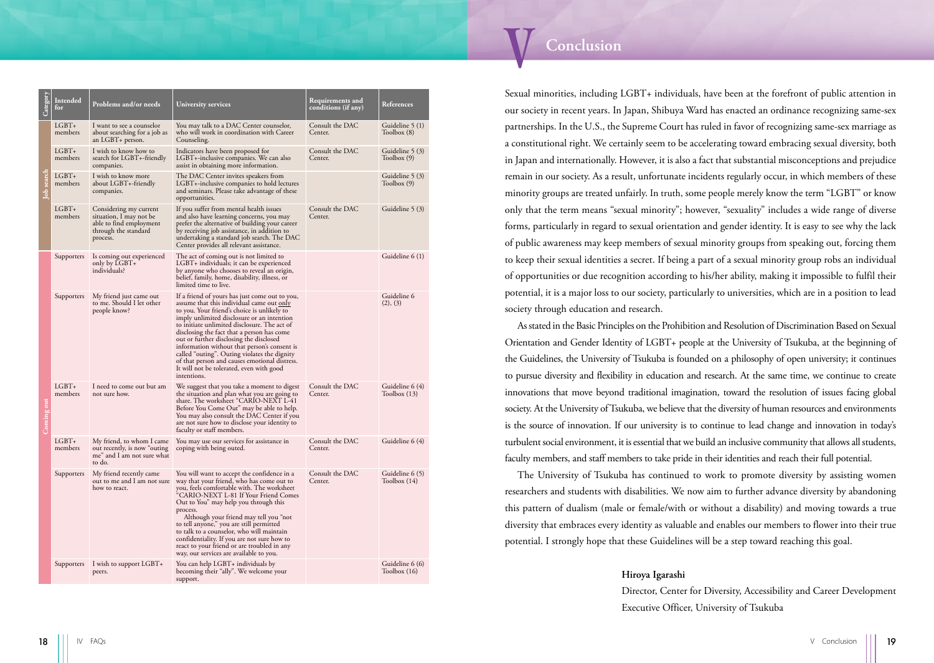| Category   | Intended<br>for    | Problems and/or needs                                                                                            | University services                                                                                                                                                                                                                                                                                                                                                                                                                                                                                                                           | <b>Requirements and</b><br>conditions (if any) | References                      |
|------------|--------------------|------------------------------------------------------------------------------------------------------------------|-----------------------------------------------------------------------------------------------------------------------------------------------------------------------------------------------------------------------------------------------------------------------------------------------------------------------------------------------------------------------------------------------------------------------------------------------------------------------------------------------------------------------------------------------|------------------------------------------------|---------------------------------|
| lob search | $LGBT+$<br>members | I want to see a counselor<br>about searching for a job as<br>an LGBT+ person.                                    | You may talk to a DAC Center counselor,<br>who will work in coordination with Career<br>Counseling.                                                                                                                                                                                                                                                                                                                                                                                                                                           | Consult the DAC<br>Center.                     | Guideline 5 (1)<br>Toolbox (8)  |
|            | $LGBT+$<br>members | I wish to know how to<br>search for LGBT+-friendly<br>companies.                                                 | Indicators have been proposed for<br>LGBT+-inclusive companies. We can also<br>assist in obtaining more information.                                                                                                                                                                                                                                                                                                                                                                                                                          | Consult the DAC<br>Center.                     | Guideline 5 (3)<br>Toolbox (9)  |
|            | $LGBT+$<br>members | I wish to know more<br>about LGBT+-friendly<br>companies.                                                        | The DAC Center invites speakers from<br>LGBT+-inclusive companies to hold lectures<br>and seminars. Please take advantage of these<br>opportunities.                                                                                                                                                                                                                                                                                                                                                                                          |                                                | Guideline 5 (3)<br>Toolbox (9)  |
|            | $LGBT+$<br>members | Considering my current<br>situation, I may not be<br>able to find employment<br>through the standard<br>process. | If you suffer from mental health issues<br>and also have learning concerns, you may<br>prefer the alternative of building your career<br>by receiving job assistance, in addition to<br>undertaking a standard job search. The DAC<br>Center provides all relevant assistance.                                                                                                                                                                                                                                                                | Consult the DAC<br>Center.                     | Guideline 5 (3)                 |
| Coming out | Supporters         | Is coming out experienced<br>only by LGBT+<br>individuals?                                                       | The act of coming out is not limited to<br>LGBT+ individuals; it can be experienced<br>by anyone who chooses to reveal an origin,<br>belief, family, home, disability, illness, or<br>limited time to live.                                                                                                                                                                                                                                                                                                                                   |                                                | Guideline 6 (1)                 |
|            | Supporters         | My friend just came out<br>to me. Should I let other<br>people know?                                             | If a friend of yours has just come out to you,<br>assume that this individual came out only<br>to you. Your friend's choice is unlikely to<br>imply unlimited disclosure or an intention<br>to initiate unlimited disclosure. The act of<br>disclosing the fact that a person has come<br>out or further disclosing the disclosed<br>information without that person's consent is<br>called "outing". Outing violates the dignity<br>of that person and causes emotional distress.<br>It will not be tolerated, even with good<br>intentions. |                                                | Guideline 6<br>(2), (3)         |
|            | $LGBT+$<br>members | I need to come out but am<br>not sure how.                                                                       | We suggest that you take a moment to digest<br>the situation and plan what you are going to<br>share. The worksheet "CARIO-NEXT L-41<br>Before You Come Out" may be able to help.<br>You may also consult the DAC Center if you<br>are not sure how to disclose your identity to<br>faculty or staff members.                                                                                                                                                                                                                                 | Consult the DAC<br>Center.                     | Guideline 6 (4)<br>Toolbox(13)  |
|            | $LGBT+$<br>members | My friend, to whom I came<br>out recently, is now "outing"<br>me" and I am not sure what<br>to do.               | You may use our services for assistance in<br>coping with being outed.                                                                                                                                                                                                                                                                                                                                                                                                                                                                        | Consult the DAC<br>Center.                     | Guideline 6 (4)                 |
|            | Supporters         | My friend recently came<br>out to me and I am not sure<br>how to react.                                          | You will want to accept the confidence in a<br>way that your friend, who has come out to<br>you, feels comfortable with. The worksheet<br>"CARIO-NEXT L-81 If Your Friend Comes<br>Out to You" may help you through this<br>process.<br>Although your friend may tell you "not<br>to tell anyone," you are still permitted<br>to talk to a counselor, who will maintain<br>confidentiality. If you are not sure how to<br>react to your friend or are troubled in any<br>way, our services are available to you.                              | Consult the DAC<br>Center.                     | Guideline 6 (5)<br>Toolbox(14)  |
|            | Supporters         | I wish to support LGBT+<br>peers.                                                                                | You can help LGBT+ individuals by<br>becoming their "ally". We welcome your<br>support.                                                                                                                                                                                                                                                                                                                                                                                                                                                       |                                                | Guideline 6 (6)<br>Toolbox (16) |

#### <span id="page-9-0"></span>Conclusion

Sexual minorities, including LGBT+ individuals, have been at the forefront of public attention in our society in recent years. In Japan, Shibuya Ward has enacted an ordinance recognizing same-sex partnerships. In the U.S., the Supreme Court has ruled in favor of recognizing same-sex marriage as a constitutional right. We certainly seem to be accelerating toward embracing sexual diversity, both in Japan and internationally. However, it is also a fact that substantial misconceptions and prejudice remain in our society. As a result, unfortunate incidents regularly occur, in which members of these minority groups are treated unfairly. In truth, some people merely know the term "LGBT" or know only that the term means "sexual minority"; however, "sexuality" includes a wide range of diverse forms, particularly in regard to sexual orientation and gender identity. It is easy to see why the lack of public awareness may keep members of sexual minority groups from speaking out, forcing them to keep their sexual identities a secret. If being a part of a sexual minority group robs an individual of opportunities or due recognition according to his/her ability, making it impossible to fulfil their potential, it is a major loss to our society, particularly to universities, which are in a position to lead society through education and research.

As stated in the Basic Principles on the Prohibition and Resolution of Discrimination Based on Sexual Orientation and Gender Identity of LGBT+ people at the University of Tsukuba, at the beginning of the Guidelines, the University of Tsukuba is founded on a philosophy of open university; it continues to pursue diversity and flexibility in education and research. At the same time, we continue to create innovations that move beyond traditional imagination, toward the resolution of issues facing global society. At the University of Tsukuba, we believe that the diversity of human resources and environments is the source of innovation. If our university is to continue to lead change and innovation in today's turbulent social environment, it is essential that we build an inclusive community that allows all students, faculty members, and staff members to take pride in their identities and reach their full potential.

The University of Tsukuba has continued to work to promote diversity by assisting women researchers and students with disabilities. We now aim to further advance diversity by abandoning this pattern of dualism (male or female/with or without a disability) and moving towards a true diversity that embraces every identity as valuable and enables our members to flower into their true potential. I strongly hope that these Guidelines will be a step toward reaching this goal.

#### **Hiroya Igarashi**

Director, Center for Diversity, Accessibility and Career Development Executive Officer, University of Tsukuba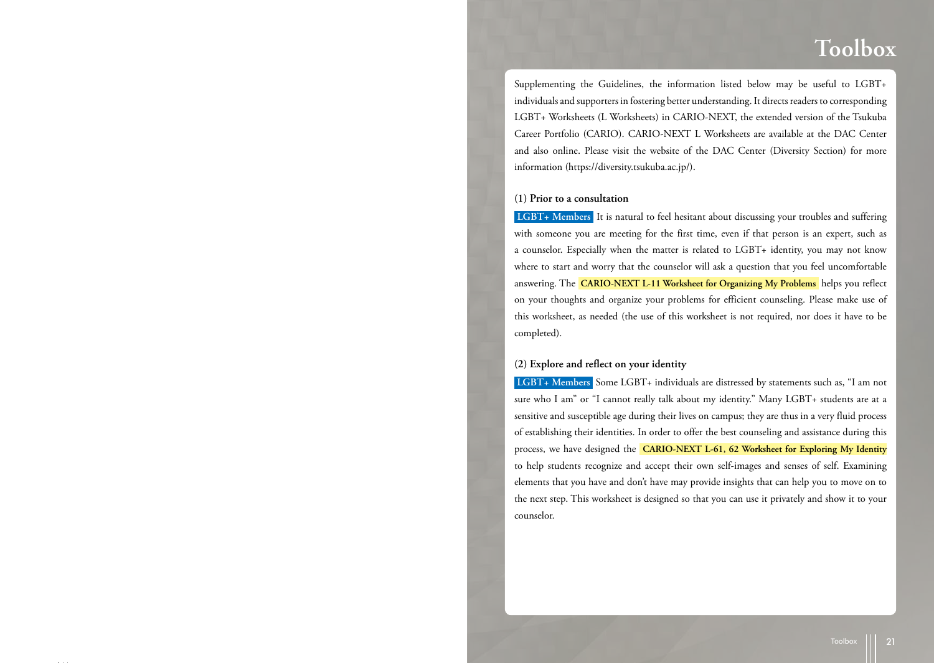## <span id="page-10-0"></span>**Toolbox**

<span id="page-10-3"></span>Supplementing the Guidelines, the information listed below may be useful to LGBT+ individuals and supporters in fostering better understanding. It directs readers to corresponding LGBT+ Worksheets (L Worksheets) in CARIO-NEXT, the extended version of the Tsukuba Career Portfolio (CARIO). CARIO-NEXT L Worksheets are available at the DAC Center and also online. Please visit the website of the DAC Center (Diversity Section) for more information (<https://diversity.tsukuba.ac.jp/>).

#### <span id="page-10-1"></span>**(1) Prior to a consultation**

**LGBT+ Members** It is natural to feel hesitant about discussing your troubles and suffering with someone you are meeting for the first time, even if that person is an expert, such as a counselor. Especially when the matter is related to LGBT+ identity, you may not know where to start and worry that the counselor will ask a question that you feel uncomfortable answering. The **CARIO-NEXT L-11 Worksheet for Organizing My Problems** helps you reflect on your thoughts and organize your problems for efficient counseling. Please make use of this worksheet, as needed (the use of this worksheet is not required, nor does it have to be completed).

#### <span id="page-10-2"></span>**(2) Explore and reflect on your identity**

**LGBT+ Members** Some LGBT+ individuals are distressed by statements such as, "I am not sure who I am" or "I cannot really talk about my identity." Many LGBT+ students are at a sensitive and susceptible age during their lives on campus; they are thus in a very fluid process of establishing their identities. In order to offer the best counseling and assistance during this process, we have designed the **CARIO-NEXT L-61, 62 Worksheet for Exploring My Identity**  to help students recognize and accept their own self-images and senses of self. Examining elements that you have and don't have may provide insights that can help you to move on to the next step. This worksheet is designed so that you can use it privately and show it to your counselor.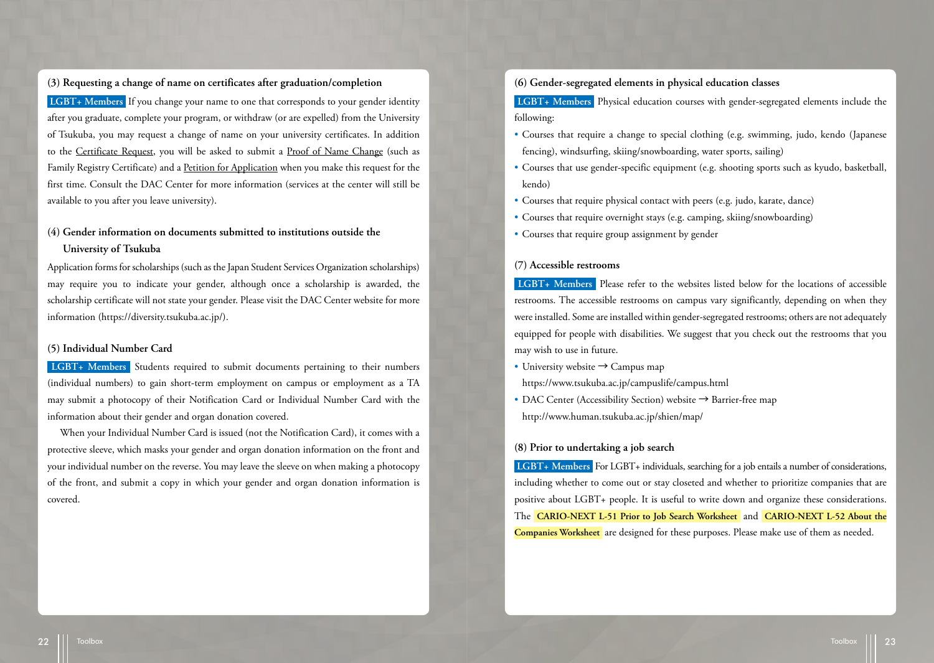<span id="page-11-0"></span>**(3) Requesting a change of name on certificates after graduation/completion**

 **LGBT+ Members** If you change your name to one that corresponds to your gender identity after you graduate, complete your program, or withdraw (or are expelled) from the University of Tsukuba, you may request a change of name on your university certificates. In addition to the Certificate Request, you will be asked to submit a Proof of Name Change (such as Family Registry Certificate) and a Petition for Application when you make this request for the first time. Consult the DAC Center for more information (services at the center will still be available to you after you leave university).

#### <span id="page-11-1"></span>**(4) Gender information on documents submitted to institutions outside the University of Tsukuba**

Application forms for scholarships (such as the Japan Student Services Organization scholarships) may require you to indicate your gender, although once a scholarship is awarded, the scholarship certificate will not state your gender. Please visit the DAC Center website for more information [\(https://diversity.tsukuba.ac.jp/\)](https://diversity.tsukuba.ac.jp/).

#### <span id="page-11-2"></span>**(5) Individual Number Card**

 **LGBT+ Members** Students required to submit documents pertaining to their numbers (individual numbers) to gain short-term employment on campus or employment as a TA may submit a photocopy of their Notification Card or Individual Number Card with the information about their gender and organ donation covered.

When your Individual Number Card is issued (not the Notification Card), it comes with a protective sleeve, which masks your gender and organ donation information on the front and your individual number on the reverse. You may leave the sleeve on when making a photocopy of the front, and submit a copy in which your gender and organ donation information is covered.

#### <span id="page-11-3"></span>**(6) Gender-segregated elements in physical education classes**

 **LGBT+ Members** Physical education courses with gender-segregated elements include the following:

- Courses that require a change to special clothing (e.g. swimming, judo, kendo (Japanese fencing), windsurfing, skiing/snowboarding, water sports, sailing)
- Courses that use gender-specific equipment (e.g. shooting sports such as kyudo, basketball, kendo)
- Courses that require physical contact with peers (e.g. judo, karate, dance)
- Courses that require overnight stays (e.g. camping, skiing/snowboarding)
- Courses that require group assignment by gender

#### <span id="page-11-4"></span>**(7) Accessible restrooms**

 **LGBT+ Members** Please refer to the websites listed below for the locations of accessible restrooms. The accessible restrooms on campus vary significantly, depending on when they were installed. Some are installed within gender-segregated restrooms; others are not adequately equipped for people with disabilities. We suggest that you check out the restrooms that you may wish to use in future.

• University website  $\rightarrow$  Campus map

<https://www.tsukuba.ac.jp/campuslife/campus.html>

• DAC Center (Accessibility Section) website → Barrier-free map [http://www.human.tsukuba.ac.jp/shien/map/](https://www.human.tsukuba.ac.jp/shien/map/)

#### <span id="page-11-5"></span>**(8) Prior to undertaking a job search**

 **LGBT+ Members** For LGBT+ individuals, searching for a job entails a number of considerations, including whether to come out or stay closeted and whether to prioritize companies that are positive about LGBT+ people. It is useful to write down and organize these considerations. The **CARIO-NEXT L-51 Prior to Job Search Worksheet** and **CARIO-NEXT L-52 About the Companies Worksheet** are designed for these purposes. Please make use of them as needed.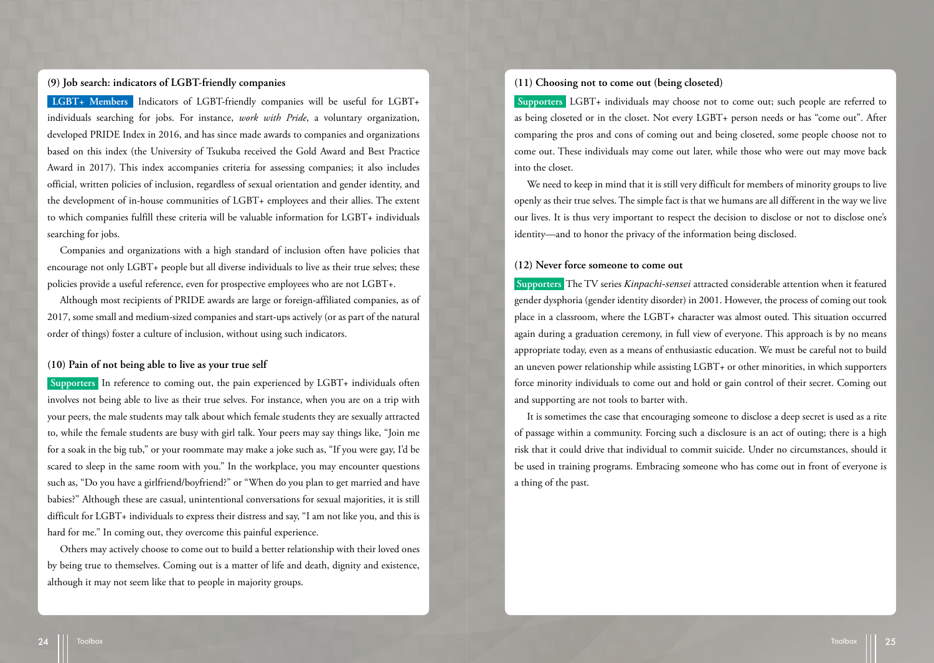#### <span id="page-12-0"></span>**(9) Job search: indicators of LGBT-friendly companies**

 **LGBT+ Members** Indicators of LGBT-friendly companies will be useful for LGBT+ individuals searching for jobs. For instance, *work with Pride*, a voluntary organization, developed PRIDE Index in 2016, and has since made awards to companies and organizations based on this index (the University of Tsukuba received the Gold Award and Best Practice Award in 2017). This index accompanies criteria for assessing companies; it also includes official, written policies of inclusion, regardless of sexual orientation and gender identity, and the development of in-house communities of LGBT+ employees and their allies. The extent to which companies fulfill these criteria will be valuable information for LGBT+ individuals searching for jobs.

Companies and organizations with a high standard of inclusion often have policies that encourage not only LGBT+ people but all diverse individuals to live as their true selves; these policies provide a useful reference, even for prospective employees who are not LGBT+.

Although most recipients of PRIDE awards are large or foreign-affiliated companies, as of 2017, some small and medium-sized companies and start-ups actively (or as part of the natural order of things) foster a culture of inclusion, without using such indicators.

#### <span id="page-12-1"></span>**(10) Pain of not being able to live as your true self**

 **Supporters** In reference to coming out, the pain experienced by LGBT+ individuals often involves not being able to live as their true selves. For instance, when you are on a trip with your peers, the male students may talk about which female students they are sexually attracted to, while the female students are busy with girl talk. Your peers may say things like, "Join me for a soak in the big tub," or your roommate may make a joke such as, "If you were gay, I'd be scared to sleep in the same room with you." In the workplace, you may encounter questions such as, "Do you have a girlfriend/boyfriend?" or "When do you plan to get married and have babies?" Although these are casual, unintentional conversations for sexual majorities, it is still difficult for LGBT+ individuals to express their distress and say, "I am not like you, and this is hard for me." In coming out, they overcome this painful experience.

Others may actively choose to come out to build a better relationship with their loved ones by being true to themselves. Coming out is a matter of life and death, dignity and existence, although it may not seem like that to people in majority groups.

#### <span id="page-12-2"></span>**(11) Choosing not to come out (being closeted)**

 **Supporters** LGBT+ individuals may choose not to come out; such people are referred to as being closeted or in the closet. Not every LGBT+ person needs or has "come out". After comparing the pros and cons of coming out and being closeted, some people choose not to come out. These individuals may come out later, while those who were out may move back into the closet.

We need to keep in mind that it is still very difficult for members of minority groups to live openly as their true selves. The simple fact is that we humans are all different in the way we live our lives. It is thus very important to respect the decision to disclose or not to disclose one's identity—and to honor the privacy of the information being disclosed.

#### <span id="page-12-3"></span>**(12) Never force someone to come out**

 **Supporters** The TV series *Kinpachi-sensei* attracted considerable attention when it featured gender dysphoria (gender identity disorder) in 2001. However, the process of coming out took place in a classroom, where the LGBT+ character was almost outed. This situation occurred again during a graduation ceremony, in full view of everyone. This approach is by no means appropriate today, even as a means of enthusiastic education. We must be careful not to build an uneven power relationship while assisting LGBT+ or other minorities, in which supporters force minority individuals to come out and hold or gain control of their secret. Coming out and supporting are not tools to barter with.

It is sometimes the case that encouraging someone to disclose a deep secret is used as a rite of passage within a community. Forcing such a disclosure is an act of outing; there is a high risk that it could drive that individual to commit suicide. Under no circumstances, should it be used in training programs. Embracing someone who has come out in front of everyone is a thing of the past.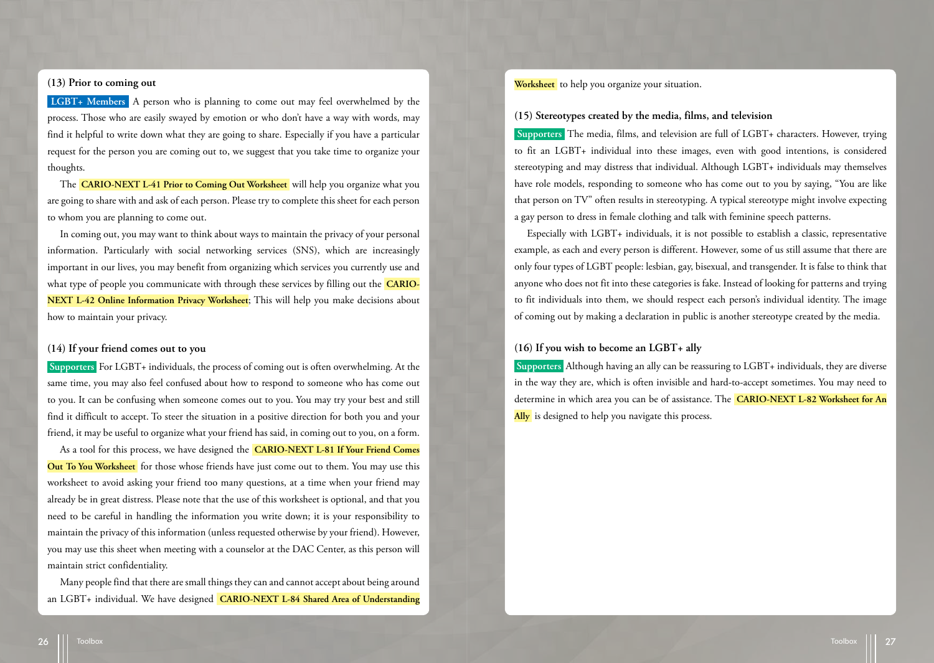#### <span id="page-13-0"></span>**(13) Prior to coming out**

 **LGBT+ Members** A person who is planning to come out may feel overwhelmed by the process. Those who are easily swayed by emotion or who don't have a way with words, may find it helpful to write down what they are going to share. Especially if you have a particular request for the person you are coming out to, we suggest that you take time to organize your thoughts.

The **CARIO-NEXT L-41 Prior to Coming Out Worksheet** will help you organize what you are going to share with and ask of each person. Please try to complete this sheet for each person to whom you are planning to come out.

In coming out, you may want to think about ways to maintain the privacy of your personal information. Particularly with social networking services (SNS), which are increasingly important in our lives, you may benefit from organizing which services you currently use and what type of people you communicate with through these services by filling out the **CARIO-NEXT L-42 Online Information Privacy Worksheet**; This will help you make decisions about how to maintain your privacy.

#### <span id="page-13-1"></span>**(14) If your friend comes out to you**

 **Supporters** For LGBT+ individuals, the process of coming out is often overwhelming. At the same time, you may also feel confused about how to respond to someone who has come out to you. It can be confusing when someone comes out to you. You may try your best and still find it difficult to accept. To steer the situation in a positive direction for both you and your friend, it may be useful to organize what your friend has said, in coming out to you, on a form.

As a tool for this process, we have designed the **CARIO-NEXT L-81 If Your Friend Comes Out To You Worksheet** for those whose friends have just come out to them. You may use this worksheet to avoid asking your friend too many questions, at a time when your friend may already be in great distress. Please note that the use of this worksheet is optional, and that you need to be careful in handling the information you write down; it is your responsibility to maintain the privacy of this information (unless requested otherwise by your friend). However, you may use this sheet when meeting with a counselor at the DAC Center, as this person will maintain strict confidentiality.

Many people find that there are small things they can and cannot accept about being around an LGBT+ individual. We have designed **CARIO-NEXT L-84 Shared Area of Understanding**  **Worksheet** to help you organize your situation.

#### <span id="page-13-2"></span>**(15) Stereotypes created by the media, films, and television**

 **Supporters** The media, films, and television are full of LGBT+ characters. However, trying to fit an LGBT+ individual into these images, even with good intentions, is considered stereotyping and may distress that individual. Although LGBT+ individuals may themselves have role models, responding to someone who has come out to you by saying, "You are like that person on TV" often results in stereotyping. A typical stereotype might involve expecting a gay person to dress in female clothing and talk with feminine speech patterns.

Especially with LGBT+ individuals, it is not possible to establish a classic, representative example, as each and every person is different. However, some of us still assume that there are only four types of LGBT people: lesbian, gay, bisexual, and transgender. It is false to think that anyone who does not fit into these categories is fake. Instead of looking for patterns and trying to fit individuals into them, we should respect each person's individual identity. The image of coming out by making a declaration in public is another stereotype created by the media.

#### <span id="page-13-3"></span>**(16) If you wish to become an LGBT+ ally**

 **Supporters** Although having an ally can be reassuring to LGBT+ individuals, they are diverse in the way they are, which is often invisible and hard-to-accept sometimes. You may need to determine in which area you can be of assistance. The **CARIO-NEXT L-82 Worksheet for An**  Ally is designed to help you navigate this process.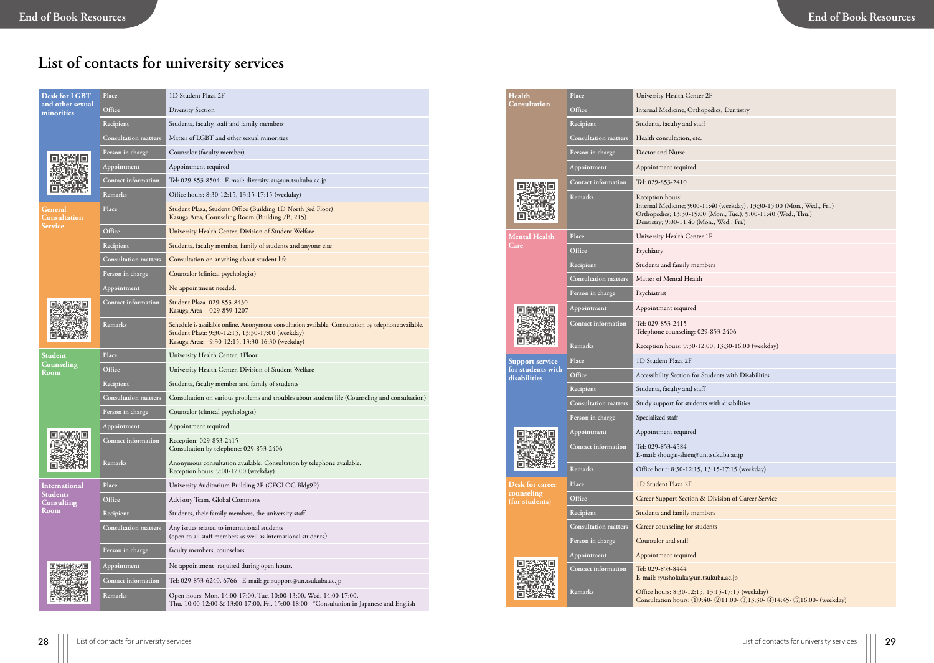## <span id="page-14-0"></span>**List of contacts for university services**

| <b>Desk for LGBT</b>            | Place                       | 1D Student Plaza 2F                                                                                                                                                                                        |
|---------------------------------|-----------------------------|------------------------------------------------------------------------------------------------------------------------------------------------------------------------------------------------------------|
| and other sexual<br>minorities  | Office                      | <b>Diversity Section</b>                                                                                                                                                                                   |
|                                 | Recipient                   | Students, faculty, staff and family members                                                                                                                                                                |
|                                 | <b>Consultation matters</b> | Matter of LGBT and other sexual minorities                                                                                                                                                                 |
|                                 | Person in charge            | Counselor (faculty member)                                                                                                                                                                                 |
|                                 | Appointment                 | Appointment required                                                                                                                                                                                       |
|                                 | Contact information         | Tel: 029-853-8504 E-mail: diversity-au@un.tsukuba.ac.jp                                                                                                                                                    |
|                                 | Remarks                     | Office hours: 8:30-12:15, 13:15-17:15 (weekday)                                                                                                                                                            |
| Gener <u>al</u><br>Consultation | Place                       | Student Plaza, Student Office (Building 1D North 3rd Floor)<br>Kasuga Area, Counseling Room (Building 7B, 215)                                                                                             |
| <b>Service</b>                  | Office                      | University Health Center, Division of Student Welfare                                                                                                                                                      |
|                                 | Recipient                   | Students, faculty member, family of students and anyone else                                                                                                                                               |
|                                 | <b>Consultation matters</b> | Consultation on anything about student life                                                                                                                                                                |
|                                 | Person in charge            | Counselor (clinical psychologist)                                                                                                                                                                          |
|                                 | Appointment                 | No appointment needed.                                                                                                                                                                                     |
|                                 | Contact information         | Student Plaza 029-853-8430<br>Kasuga Area 029-859-1207                                                                                                                                                     |
|                                 | Remarks                     | Schedule is available online. Anonymous consultation available. Consultation by telephone available.<br>Student Plaza: 9:30-12:15, 13:30-17:00 (weekday)<br>Kasuga Area: 9:30-12:15, 13:30-16:30 (weekday) |
| Student                         | Place                       | University Health Center, 1Floor                                                                                                                                                                           |
| Counseling<br>Room              | Office                      | University Health Center, Division of Student Welfare                                                                                                                                                      |
|                                 | Recipient                   | Students, faculty member and family of students                                                                                                                                                            |
|                                 | <b>Consultation matters</b> | Consultation on various problems and troubles about student life (Counseling and consultation)                                                                                                             |
|                                 | Person in charge            | Counselor (clinical psychologist)                                                                                                                                                                          |
|                                 | Appointment                 | Appointment required                                                                                                                                                                                       |
|                                 | <b>Contact information</b>  | Reception: 029-853-2415<br>Consultation by telephone: 029-853-2406                                                                                                                                         |
|                                 | Remarks                     | Anonymous consultation available. Consultation by telephone available.<br>Reception hours: 9:00-17:00 (weekday)                                                                                            |
| <b>International</b>            | Place                       | University Auditorium Building 2F (CEGLOC Bldg9P)                                                                                                                                                          |
| <b>Students</b><br>Consulting   | Office                      | Advisory Team, Global Commons                                                                                                                                                                              |
| Room                            | Recipient                   | Students, their family members, the university staff                                                                                                                                                       |
|                                 | <b>Consultation matters</b> | Any issues related to international students<br>(open to all staff members as well as international students)                                                                                              |
|                                 | Person in charge            | faculty members, counselors                                                                                                                                                                                |
|                                 | Appointment                 | No appointment required during open hours.                                                                                                                                                                 |
|                                 | Contact information         | Tel: 029-853-6240, 6766  E-mail: gc-support@un.tsukuba.ac.jp                                                                                                                                               |
|                                 | Remarks                     | Open hours: Mon. 14:00-17:00, Tue. 10:00-13:00, Wed. 14:00-17:00,<br>Thu. 10:00-12:00 & 13:00-17:00, Fri. 15:00-18:00 *Consultation in Japanese and English                                                |

**Health Consultation**

**Office** Internal Medicine, Orthopedics, Dentistry **Recipient CO** Students, faculty and staff **Consultation matters** Health consultation, etc. Person in charge **Doctor and Nurse Appointment** Appointment required **Contact information** Tel: 029-853-2410 回溯激回 **Remarks** Reception hours: Internal Medicine; 9:00-11:40 (weekday), 13:30-15:00 (Mon., Wed., Fri.) Orthopedics; 13:30-15:00 (Mon., Tue.), 9:00-11:40 (Wed., Thu.) Dentistry; 9:00-11:40 (Mon., Wed., Fri.) **Mental Health Place** University Health Center 1F **Office** Psychiatry **Recipient** Students and family members **Consultation matters** Matter of Mental Health Person in charge **Psychiatrist** Appointment required 回度激励回 **Contact information** Tel: 029-853-2415 Telephone counseling: 029-853-2406 面貌的 **Remarks** Reception hours: 9:30-12:00, 13:30-16:00 (weekday) **Place** 1D Student Plaza 2F **Support service for students with disabilities Office** Accessibility Section for Students with Disabilities **Recipient** Students, faculty and staff Consultation matters Study support for students with disabilities Person in charge **Specialized staff Appointment** Appointment required **Contact information** Tel: 029-853-4584 E-mail: shougai-shien@un.tsukuba.ac.jp **Remarks** Office hour: 8:30-12:15, 13:15-17:15 (weekday) **Place** 1D Student Plaza 2F **Desk for career counseling Office** Career Support Section & Division of Career Service **(for students) Recipient Recipient Recipient Recipient** Consultation matters **Career counseling for students** Person in charge **Counselor and staff Appointment** Appointment required **Contact information** Tel: 029-853-8444 E-mail: syushokuka@un.tsukuba.ac.jp **Remarks Office hours: 8:30-12:15, 13:15-17:15 (weekday)** Consultation hours: (1)9:40- (2)11:00- (3)13:30- (4)14:45- (5)16:00- (weekday)

**Place** University Health Center 2F